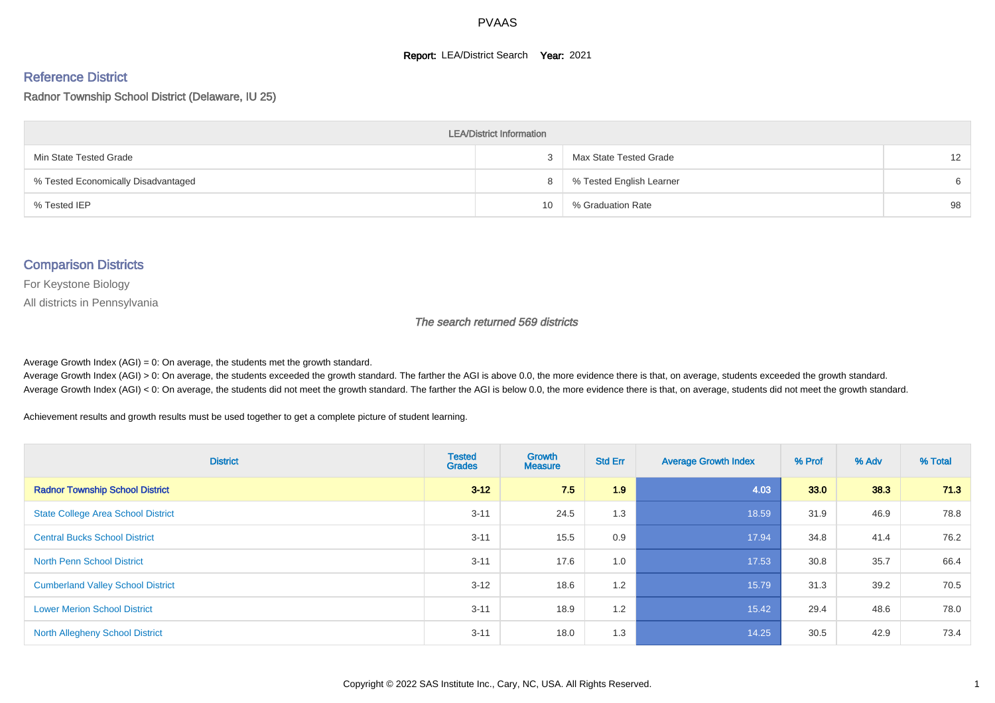#### **Report: LEA/District Search Year: 2021**

#### Reference District

Radnor Township School District (Delaware, IU 25)

| <b>LEA/District Information</b>     |    |                          |    |  |  |  |  |  |  |
|-------------------------------------|----|--------------------------|----|--|--|--|--|--|--|
| Min State Tested Grade              |    | Max State Tested Grade   | 12 |  |  |  |  |  |  |
| % Tested Economically Disadvantaged | 8  | % Tested English Learner | 6  |  |  |  |  |  |  |
| % Tested IEP                        | 10 | % Graduation Rate        | 98 |  |  |  |  |  |  |

#### Comparison Districts

For Keystone Biology

All districts in Pennsylvania

The search returned 569 districts

Average Growth Index  $(AGI) = 0$ : On average, the students met the growth standard.

Average Growth Index (AGI) > 0: On average, the students exceeded the growth standard. The farther the AGI is above 0.0, the more evidence there is that, on average, students exceeded the growth standard. Average Growth Index (AGI) < 0: On average, the students did not meet the growth standard. The farther the AGI is below 0.0, the more evidence there is that, on average, students did not meet the growth standard.

Achievement results and growth results must be used together to get a complete picture of student learning.

| <b>District</b>                           | <b>Tested</b><br><b>Grades</b> | <b>Growth</b><br><b>Measure</b> | <b>Std Err</b> | <b>Average Growth Index</b> | % Prof | % Adv | % Total |
|-------------------------------------------|--------------------------------|---------------------------------|----------------|-----------------------------|--------|-------|---------|
| <b>Radnor Township School District</b>    | $3 - 12$                       | 7.5                             | 1.9            | 4.03                        | 33.0   | 38.3  | 71.3    |
| <b>State College Area School District</b> | $3 - 11$                       | 24.5                            | 1.3            | 18.59                       | 31.9   | 46.9  | 78.8    |
| <b>Central Bucks School District</b>      | $3 - 11$                       | 15.5                            | 0.9            | 17.94                       | 34.8   | 41.4  | 76.2    |
| <b>North Penn School District</b>         | $3 - 11$                       | 17.6                            | 1.0            | 17.53                       | 30.8   | 35.7  | 66.4    |
| <b>Cumberland Valley School District</b>  | $3 - 12$                       | 18.6                            | 1.2            | 15.79                       | 31.3   | 39.2  | 70.5    |
| <b>Lower Merion School District</b>       | $3 - 11$                       | 18.9                            | 1.2            | 15.42                       | 29.4   | 48.6  | 78.0    |
| North Allegheny School District           | $3 - 11$                       | 18.0                            | 1.3            | 14.25                       | 30.5   | 42.9  | 73.4    |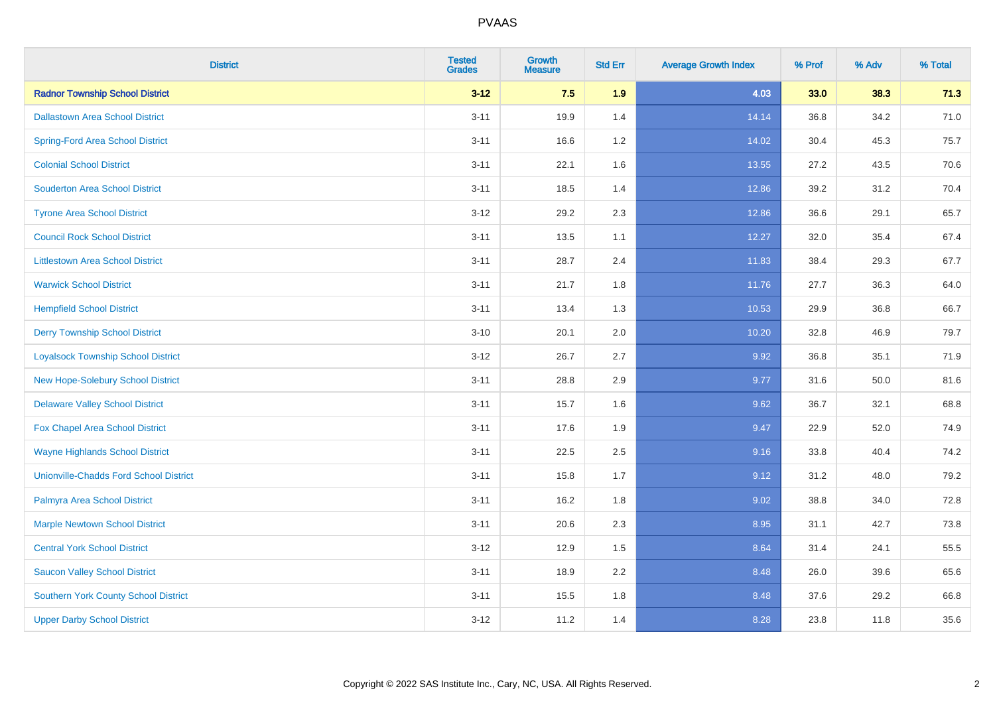| <b>District</b>                               | <b>Tested</b><br><b>Grades</b> | <b>Growth</b><br><b>Measure</b> | <b>Std Err</b> | <b>Average Growth Index</b> | % Prof | % Adv | % Total |
|-----------------------------------------------|--------------------------------|---------------------------------|----------------|-----------------------------|--------|-------|---------|
| <b>Radnor Township School District</b>        | $3 - 12$                       | 7.5                             | 1.9            | 4.03                        | 33.0   | 38.3  | 71.3    |
| <b>Dallastown Area School District</b>        | $3 - 11$                       | 19.9                            | 1.4            | 14.14                       | 36.8   | 34.2  | 71.0    |
| <b>Spring-Ford Area School District</b>       | $3 - 11$                       | 16.6                            | 1.2            | 14.02                       | 30.4   | 45.3  | 75.7    |
| <b>Colonial School District</b>               | $3 - 11$                       | 22.1                            | 1.6            | 13.55                       | 27.2   | 43.5  | 70.6    |
| <b>Souderton Area School District</b>         | $3 - 11$                       | 18.5                            | 1.4            | 12.86                       | 39.2   | 31.2  | 70.4    |
| <b>Tyrone Area School District</b>            | $3 - 12$                       | 29.2                            | 2.3            | 12.86                       | 36.6   | 29.1  | 65.7    |
| <b>Council Rock School District</b>           | $3 - 11$                       | 13.5                            | 1.1            | 12.27                       | 32.0   | 35.4  | 67.4    |
| <b>Littlestown Area School District</b>       | $3 - 11$                       | 28.7                            | 2.4            | 11.83                       | 38.4   | 29.3  | 67.7    |
| <b>Warwick School District</b>                | $3 - 11$                       | 21.7                            | 1.8            | 11.76                       | 27.7   | 36.3  | 64.0    |
| <b>Hempfield School District</b>              | $3 - 11$                       | 13.4                            | 1.3            | 10.53                       | 29.9   | 36.8  | 66.7    |
| <b>Derry Township School District</b>         | $3 - 10$                       | 20.1                            | 2.0            | 10.20                       | 32.8   | 46.9  | 79.7    |
| <b>Loyalsock Township School District</b>     | $3-12$                         | 26.7                            | 2.7            | 9.92                        | 36.8   | 35.1  | 71.9    |
| New Hope-Solebury School District             | $3 - 11$                       | 28.8                            | 2.9            | 9.77                        | 31.6   | 50.0  | 81.6    |
| <b>Delaware Valley School District</b>        | $3 - 11$                       | 15.7                            | 1.6            | 9.62                        | 36.7   | 32.1  | 68.8    |
| Fox Chapel Area School District               | $3 - 11$                       | 17.6                            | 1.9            | 9.47                        | 22.9   | 52.0  | 74.9    |
| <b>Wayne Highlands School District</b>        | $3 - 11$                       | 22.5                            | 2.5            | 9.16                        | 33.8   | 40.4  | 74.2    |
| <b>Unionville-Chadds Ford School District</b> | $3 - 11$                       | 15.8                            | 1.7            | 9.12                        | 31.2   | 48.0  | 79.2    |
| Palmyra Area School District                  | $3 - 11$                       | 16.2                            | 1.8            | 9.02                        | 38.8   | 34.0  | 72.8    |
| <b>Marple Newtown School District</b>         | $3 - 11$                       | 20.6                            | 2.3            | 8.95                        | 31.1   | 42.7  | 73.8    |
| <b>Central York School District</b>           | $3 - 12$                       | 12.9                            | 1.5            | 8.64                        | 31.4   | 24.1  | 55.5    |
| <b>Saucon Valley School District</b>          | $3 - 11$                       | 18.9                            | 2.2            | 8.48                        | 26.0   | 39.6  | 65.6    |
| <b>Southern York County School District</b>   | $3 - 11$                       | 15.5                            | 1.8            | 8.48                        | 37.6   | 29.2  | 66.8    |
| <b>Upper Darby School District</b>            | $3 - 12$                       | 11.2                            | 1.4            | 8.28                        | 23.8   | 11.8  | 35.6    |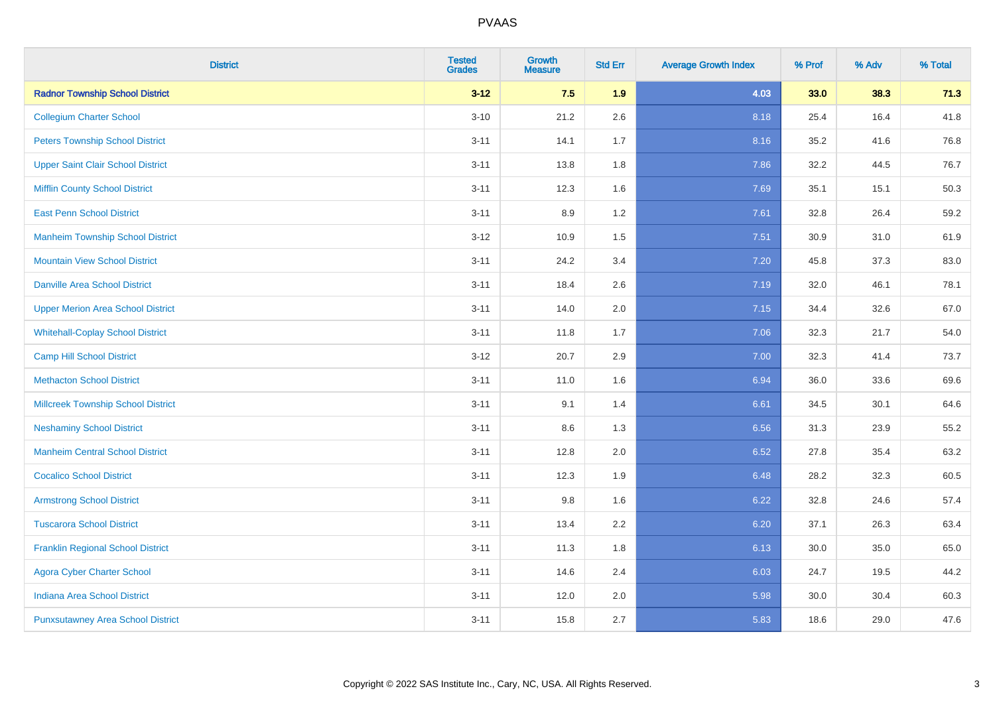| <b>District</b>                           | <b>Tested</b><br><b>Grades</b> | <b>Growth</b><br><b>Measure</b> | <b>Std Err</b> | <b>Average Growth Index</b> | % Prof | % Adv | % Total |
|-------------------------------------------|--------------------------------|---------------------------------|----------------|-----------------------------|--------|-------|---------|
| <b>Radnor Township School District</b>    | $3 - 12$                       | 7.5                             | 1.9            | 4.03                        | 33.0   | 38.3  | 71.3    |
| <b>Collegium Charter School</b>           | $3 - 10$                       | 21.2                            | 2.6            | 8.18                        | 25.4   | 16.4  | 41.8    |
| <b>Peters Township School District</b>    | $3 - 11$                       | 14.1                            | 1.7            | 8.16                        | 35.2   | 41.6  | 76.8    |
| <b>Upper Saint Clair School District</b>  | $3 - 11$                       | 13.8                            | 1.8            | 7.86                        | 32.2   | 44.5  | 76.7    |
| <b>Mifflin County School District</b>     | $3 - 11$                       | 12.3                            | 1.6            | 7.69                        | 35.1   | 15.1  | 50.3    |
| <b>East Penn School District</b>          | $3 - 11$                       | 8.9                             | 1.2            | 7.61                        | 32.8   | 26.4  | 59.2    |
| <b>Manheim Township School District</b>   | $3 - 12$                       | 10.9                            | 1.5            | 7.51                        | 30.9   | 31.0  | 61.9    |
| <b>Mountain View School District</b>      | $3 - 11$                       | 24.2                            | 3.4            | 7.20                        | 45.8   | 37.3  | 83.0    |
| <b>Danville Area School District</b>      | $3 - 11$                       | 18.4                            | 2.6            | 7.19                        | 32.0   | 46.1  | 78.1    |
| <b>Upper Merion Area School District</b>  | $3 - 11$                       | 14.0                            | 2.0            | 7.15                        | 34.4   | 32.6  | 67.0    |
| <b>Whitehall-Coplay School District</b>   | $3 - 11$                       | 11.8                            | 1.7            | 7.06                        | 32.3   | 21.7  | 54.0    |
| <b>Camp Hill School District</b>          | $3 - 12$                       | 20.7                            | 2.9            | 7.00                        | 32.3   | 41.4  | 73.7    |
| <b>Methacton School District</b>          | $3 - 11$                       | 11.0                            | 1.6            | 6.94                        | 36.0   | 33.6  | 69.6    |
| <b>Millcreek Township School District</b> | $3 - 11$                       | 9.1                             | 1.4            | 6.61                        | 34.5   | 30.1  | 64.6    |
| <b>Neshaminy School District</b>          | $3 - 11$                       | 8.6                             | 1.3            | 6.56                        | 31.3   | 23.9  | 55.2    |
| <b>Manheim Central School District</b>    | $3 - 11$                       | 12.8                            | 2.0            | 6.52                        | 27.8   | 35.4  | 63.2    |
| <b>Cocalico School District</b>           | $3 - 11$                       | 12.3                            | 1.9            | 6.48                        | 28.2   | 32.3  | 60.5    |
| <b>Armstrong School District</b>          | $3 - 11$                       | 9.8                             | 1.6            | 6.22                        | 32.8   | 24.6  | 57.4    |
| <b>Tuscarora School District</b>          | $3 - 11$                       | 13.4                            | 2.2            | 6.20                        | 37.1   | 26.3  | 63.4    |
| <b>Franklin Regional School District</b>  | $3 - 11$                       | 11.3                            | 1.8            | 6.13                        | 30.0   | 35.0  | 65.0    |
| <b>Agora Cyber Charter School</b>         | $3 - 11$                       | 14.6                            | 2.4            | 6.03                        | 24.7   | 19.5  | 44.2    |
| <b>Indiana Area School District</b>       | $3 - 11$                       | 12.0                            | 2.0            | 5.98                        | 30.0   | 30.4  | 60.3    |
| <b>Punxsutawney Area School District</b>  | $3 - 11$                       | 15.8                            | 2.7            | 5.83                        | 18.6   | 29.0  | 47.6    |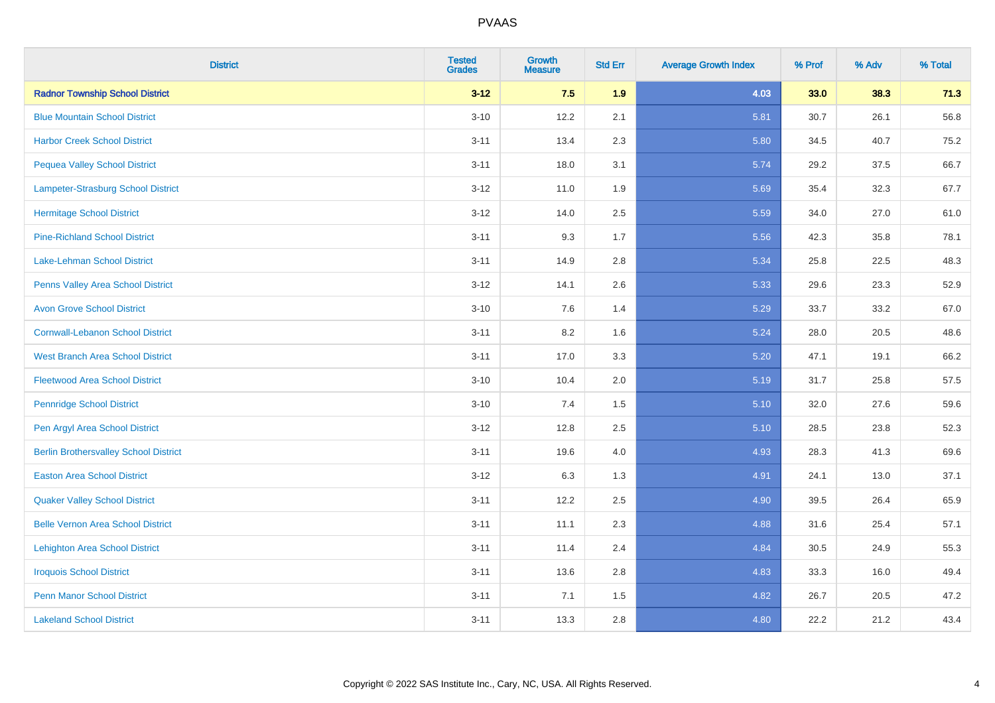| <b>District</b>                              | <b>Tested</b><br><b>Grades</b> | <b>Growth</b><br><b>Measure</b> | <b>Std Err</b> | <b>Average Growth Index</b> | % Prof | % Adv | % Total |
|----------------------------------------------|--------------------------------|---------------------------------|----------------|-----------------------------|--------|-------|---------|
| <b>Radnor Township School District</b>       | $3 - 12$                       | 7.5                             | 1.9            | 4.03                        | 33.0   | 38.3  | 71.3    |
| <b>Blue Mountain School District</b>         | $3 - 10$                       | 12.2                            | 2.1            | 5.81                        | 30.7   | 26.1  | 56.8    |
| <b>Harbor Creek School District</b>          | $3 - 11$                       | 13.4                            | 2.3            | 5.80                        | 34.5   | 40.7  | 75.2    |
| <b>Pequea Valley School District</b>         | $3 - 11$                       | 18.0                            | 3.1            | 5.74                        | 29.2   | 37.5  | 66.7    |
| Lampeter-Strasburg School District           | $3 - 12$                       | 11.0                            | 1.9            | 5.69                        | 35.4   | 32.3  | 67.7    |
| <b>Hermitage School District</b>             | $3 - 12$                       | 14.0                            | 2.5            | 5.59                        | 34.0   | 27.0  | 61.0    |
| <b>Pine-Richland School District</b>         | $3 - 11$                       | 9.3                             | 1.7            | 5.56                        | 42.3   | 35.8  | 78.1    |
| <b>Lake-Lehman School District</b>           | $3 - 11$                       | 14.9                            | 2.8            | 5.34                        | 25.8   | 22.5  | 48.3    |
| Penns Valley Area School District            | $3 - 12$                       | 14.1                            | 2.6            | 5.33                        | 29.6   | 23.3  | 52.9    |
| <b>Avon Grove School District</b>            | $3 - 10$                       | 7.6                             | 1.4            | 5.29                        | 33.7   | 33.2  | 67.0    |
| <b>Cornwall-Lebanon School District</b>      | $3 - 11$                       | 8.2                             | 1.6            | 5.24                        | 28.0   | 20.5  | 48.6    |
| <b>West Branch Area School District</b>      | $3 - 11$                       | 17.0                            | 3.3            | 5.20                        | 47.1   | 19.1  | 66.2    |
| <b>Fleetwood Area School District</b>        | $3 - 10$                       | 10.4                            | 2.0            | 5.19                        | 31.7   | 25.8  | 57.5    |
| <b>Pennridge School District</b>             | $3 - 10$                       | 7.4                             | 1.5            | 5.10                        | 32.0   | 27.6  | 59.6    |
| Pen Argyl Area School District               | $3 - 12$                       | 12.8                            | 2.5            | 5.10                        | 28.5   | 23.8  | 52.3    |
| <b>Berlin Brothersvalley School District</b> | $3 - 11$                       | 19.6                            | 4.0            | 4.93                        | 28.3   | 41.3  | 69.6    |
| <b>Easton Area School District</b>           | $3 - 12$                       | 6.3                             | 1.3            | 4.91                        | 24.1   | 13.0  | 37.1    |
| <b>Quaker Valley School District</b>         | $3 - 11$                       | 12.2                            | 2.5            | 4.90                        | 39.5   | 26.4  | 65.9    |
| <b>Belle Vernon Area School District</b>     | $3 - 11$                       | 11.1                            | 2.3            | 4.88                        | 31.6   | 25.4  | 57.1    |
| <b>Lehighton Area School District</b>        | $3 - 11$                       | 11.4                            | 2.4            | 4.84                        | 30.5   | 24.9  | 55.3    |
| <b>Iroquois School District</b>              | $3 - 11$                       | 13.6                            | 2.8            | 4.83                        | 33.3   | 16.0  | 49.4    |
| <b>Penn Manor School District</b>            | $3 - 11$                       | 7.1                             | 1.5            | 4.82                        | 26.7   | 20.5  | 47.2    |
| <b>Lakeland School District</b>              | $3 - 11$                       | 13.3                            | 2.8            | 4.80                        | 22.2   | 21.2  | 43.4    |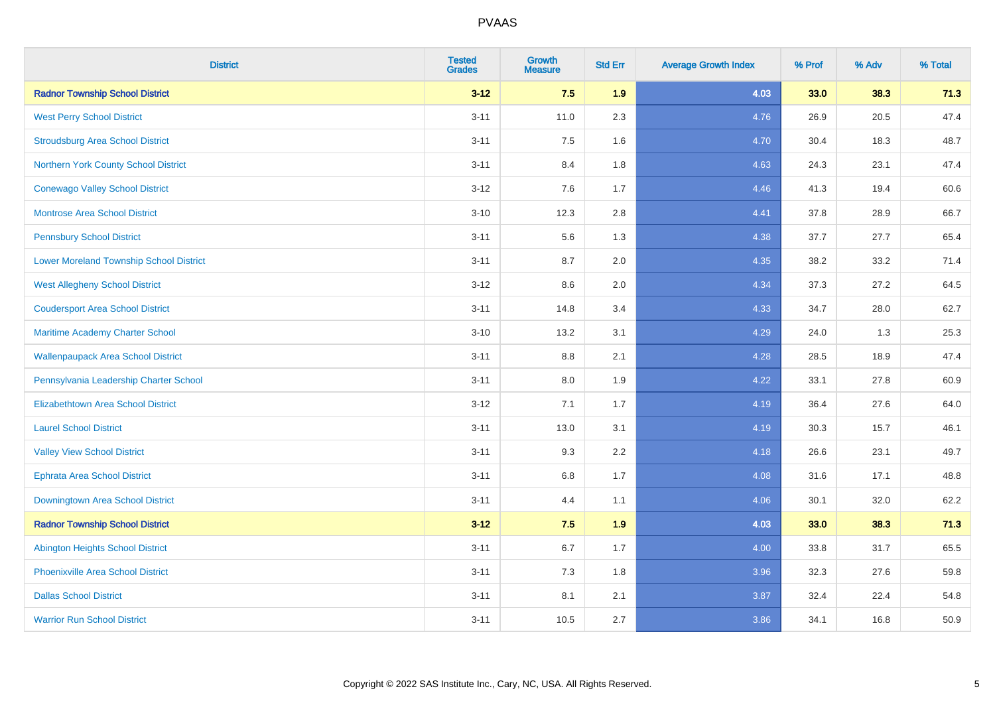| <b>District</b>                                | <b>Tested</b><br><b>Grades</b> | <b>Growth</b><br><b>Measure</b> | <b>Std Err</b> | <b>Average Growth Index</b> | % Prof | % Adv | % Total |
|------------------------------------------------|--------------------------------|---------------------------------|----------------|-----------------------------|--------|-------|---------|
| <b>Radnor Township School District</b>         | $3 - 12$                       | 7.5                             | 1.9            | 4.03                        | 33.0   | 38.3  | 71.3    |
| <b>West Perry School District</b>              | $3 - 11$                       | 11.0                            | 2.3            | 4.76                        | 26.9   | 20.5  | 47.4    |
| <b>Stroudsburg Area School District</b>        | $3 - 11$                       | 7.5                             | 1.6            | 4.70                        | 30.4   | 18.3  | 48.7    |
| Northern York County School District           | $3 - 11$                       | 8.4                             | 1.8            | 4.63                        | 24.3   | 23.1  | 47.4    |
| <b>Conewago Valley School District</b>         | $3 - 12$                       | 7.6                             | 1.7            | 4.46                        | 41.3   | 19.4  | 60.6    |
| <b>Montrose Area School District</b>           | $3 - 10$                       | 12.3                            | 2.8            | 4.41                        | 37.8   | 28.9  | 66.7    |
| <b>Pennsbury School District</b>               | $3 - 11$                       | 5.6                             | 1.3            | 4.38                        | 37.7   | 27.7  | 65.4    |
| <b>Lower Moreland Township School District</b> | $3 - 11$                       | 8.7                             | 2.0            | 4.35                        | 38.2   | 33.2  | 71.4    |
| <b>West Allegheny School District</b>          | $3 - 12$                       | 8.6                             | 2.0            | 4.34                        | 37.3   | 27.2  | 64.5    |
| <b>Coudersport Area School District</b>        | $3 - 11$                       | 14.8                            | 3.4            | 4.33                        | 34.7   | 28.0  | 62.7    |
| Maritime Academy Charter School                | $3 - 10$                       | 13.2                            | 3.1            | 4.29                        | 24.0   | 1.3   | 25.3    |
| <b>Wallenpaupack Area School District</b>      | $3 - 11$                       | $8.8\,$                         | 2.1            | 4.28                        | 28.5   | 18.9  | 47.4    |
| Pennsylvania Leadership Charter School         | $3 - 11$                       | 8.0                             | 1.9            | 4.22                        | 33.1   | 27.8  | 60.9    |
| <b>Elizabethtown Area School District</b>      | $3 - 12$                       | 7.1                             | 1.7            | 4.19                        | 36.4   | 27.6  | 64.0    |
| <b>Laurel School District</b>                  | $3 - 11$                       | 13.0                            | 3.1            | 4.19                        | 30.3   | 15.7  | 46.1    |
| <b>Valley View School District</b>             | $3 - 11$                       | 9.3                             | 2.2            | 4.18                        | 26.6   | 23.1  | 49.7    |
| <b>Ephrata Area School District</b>            | $3 - 11$                       | 6.8                             | 1.7            | 4.08                        | 31.6   | 17.1  | 48.8    |
| <b>Downingtown Area School District</b>        | $3 - 11$                       | 4.4                             | 1.1            | 4.06                        | 30.1   | 32.0  | 62.2    |
| <b>Radnor Township School District</b>         | $3 - 12$                       | 7.5                             | 1.9            | 4.03                        | 33.0   | 38.3  | 71.3    |
| <b>Abington Heights School District</b>        | $3 - 11$                       | $6.7\,$                         | 1.7            | 4.00                        | 33.8   | 31.7  | 65.5    |
| <b>Phoenixville Area School District</b>       | $3 - 11$                       | 7.3                             | 1.8            | 3.96                        | 32.3   | 27.6  | 59.8    |
| <b>Dallas School District</b>                  | $3 - 11$                       | 8.1                             | 2.1            | 3.87                        | 32.4   | 22.4  | 54.8    |
| <b>Warrior Run School District</b>             | $3 - 11$                       | 10.5                            | 2.7            | 3.86                        | 34.1   | 16.8  | 50.9    |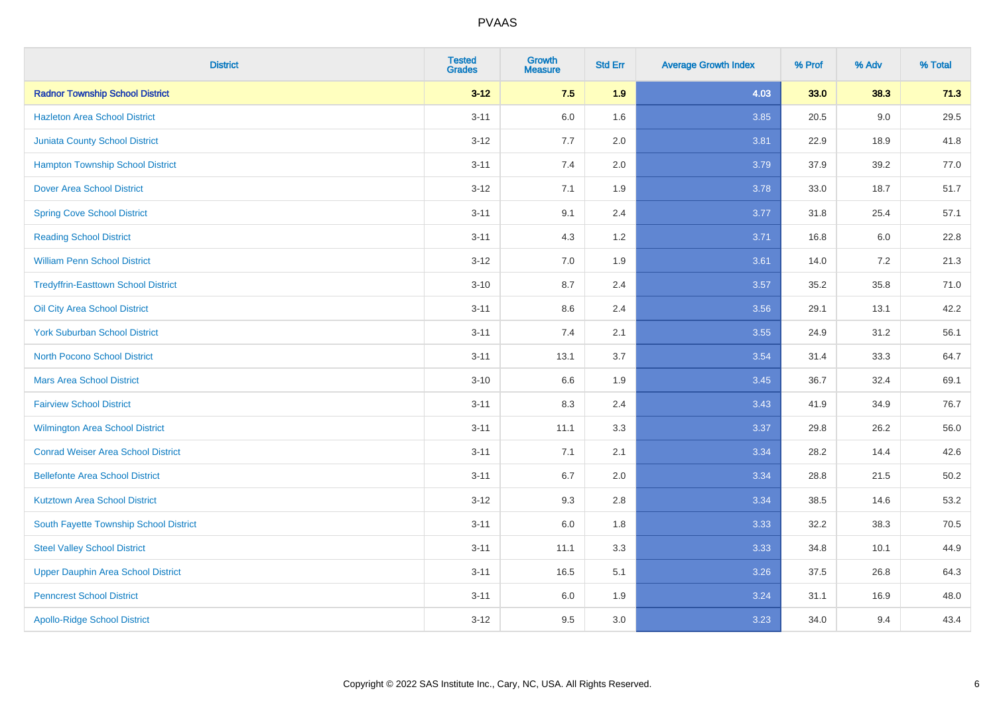| <b>District</b>                            | <b>Tested</b><br><b>Grades</b> | <b>Growth</b><br><b>Measure</b> | <b>Std Err</b> | <b>Average Growth Index</b> | % Prof | % Adv | % Total  |
|--------------------------------------------|--------------------------------|---------------------------------|----------------|-----------------------------|--------|-------|----------|
| <b>Radnor Township School District</b>     | $3 - 12$                       | 7.5                             | 1.9            | 4.03                        | 33.0   | 38.3  | 71.3     |
| <b>Hazleton Area School District</b>       | $3 - 11$                       | $6.0\,$                         | 1.6            | 3.85                        | 20.5   | 9.0   | 29.5     |
| <b>Juniata County School District</b>      | $3 - 12$                       | 7.7                             | 2.0            | 3.81                        | 22.9   | 18.9  | 41.8     |
| <b>Hampton Township School District</b>    | $3 - 11$                       | 7.4                             | 2.0            | 3.79                        | 37.9   | 39.2  | 77.0     |
| <b>Dover Area School District</b>          | $3 - 12$                       | 7.1                             | 1.9            | 3.78                        | 33.0   | 18.7  | 51.7     |
| <b>Spring Cove School District</b>         | $3 - 11$                       | 9.1                             | 2.4            | 3.77                        | 31.8   | 25.4  | 57.1     |
| <b>Reading School District</b>             | $3 - 11$                       | 4.3                             | 1.2            | 3.71                        | 16.8   | 6.0   | 22.8     |
| <b>William Penn School District</b>        | $3 - 12$                       | 7.0                             | 1.9            | 3.61                        | 14.0   | 7.2   | 21.3     |
| <b>Tredyffrin-Easttown School District</b> | $3 - 10$                       | 8.7                             | 2.4            | 3.57                        | 35.2   | 35.8  | 71.0     |
| Oil City Area School District              | $3 - 11$                       | 8.6                             | 2.4            | 3.56                        | 29.1   | 13.1  | 42.2     |
| <b>York Suburban School District</b>       | $3 - 11$                       | 7.4                             | 2.1            | 3.55                        | 24.9   | 31.2  | 56.1     |
| <b>North Pocono School District</b>        | $3 - 11$                       | 13.1                            | 3.7            | 3.54                        | 31.4   | 33.3  | 64.7     |
| <b>Mars Area School District</b>           | $3 - 10$                       | 6.6                             | 1.9            | 3.45                        | 36.7   | 32.4  | 69.1     |
| <b>Fairview School District</b>            | $3 - 11$                       | 8.3                             | 2.4            | 3.43                        | 41.9   | 34.9  | 76.7     |
| <b>Wilmington Area School District</b>     | $3 - 11$                       | 11.1                            | 3.3            | 3.37                        | 29.8   | 26.2  | 56.0     |
| <b>Conrad Weiser Area School District</b>  | $3 - 11$                       | 7.1                             | 2.1            | 3.34                        | 28.2   | 14.4  | 42.6     |
| <b>Bellefonte Area School District</b>     | $3 - 11$                       | 6.7                             | 2.0            | 3.34                        | 28.8   | 21.5  | $50.2\,$ |
| <b>Kutztown Area School District</b>       | $3 - 12$                       | 9.3                             | 2.8            | 3.34                        | 38.5   | 14.6  | 53.2     |
| South Fayette Township School District     | $3 - 11$                       | $6.0\,$                         | 1.8            | 3.33                        | 32.2   | 38.3  | 70.5     |
| <b>Steel Valley School District</b>        | $3 - 11$                       | 11.1                            | 3.3            | 3.33                        | 34.8   | 10.1  | 44.9     |
| Upper Dauphin Area School District         | $3 - 11$                       | 16.5                            | 5.1            | 3.26                        | 37.5   | 26.8  | 64.3     |
| <b>Penncrest School District</b>           | $3 - 11$                       | 6.0                             | 1.9            | 3.24                        | 31.1   | 16.9  | 48.0     |
| <b>Apollo-Ridge School District</b>        | $3 - 12$                       | 9.5                             | 3.0            | 3.23                        | 34.0   | 9.4   | 43.4     |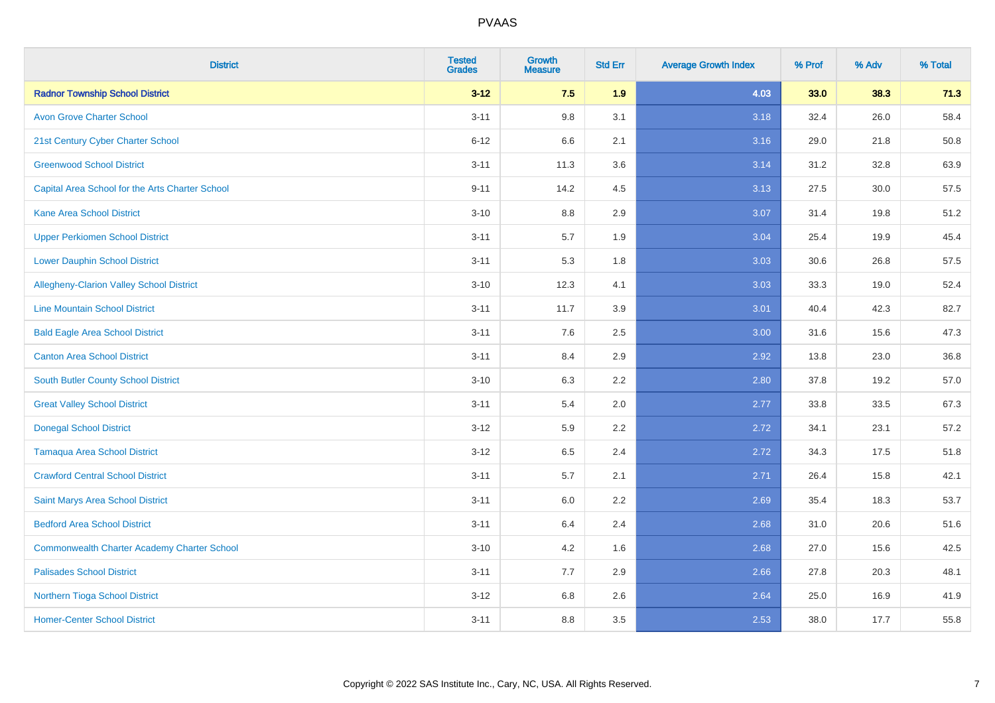| <b>District</b>                                    | <b>Tested</b><br><b>Grades</b> | <b>Growth</b><br><b>Measure</b> | <b>Std Err</b> | <b>Average Growth Index</b> | % Prof | % Adv | % Total |
|----------------------------------------------------|--------------------------------|---------------------------------|----------------|-----------------------------|--------|-------|---------|
| <b>Radnor Township School District</b>             | $3 - 12$                       | 7.5                             | 1.9            | 4.03                        | 33.0   | 38.3  | 71.3    |
| <b>Avon Grove Charter School</b>                   | $3 - 11$                       | 9.8                             | 3.1            | 3.18                        | 32.4   | 26.0  | 58.4    |
| 21st Century Cyber Charter School                  | $6 - 12$                       | 6.6                             | 2.1            | 3.16                        | 29.0   | 21.8  | 50.8    |
| <b>Greenwood School District</b>                   | $3 - 11$                       | 11.3                            | 3.6            | 3.14                        | 31.2   | 32.8  | 63.9    |
| Capital Area School for the Arts Charter School    | $9 - 11$                       | 14.2                            | 4.5            | 3.13                        | 27.5   | 30.0  | 57.5    |
| <b>Kane Area School District</b>                   | $3 - 10$                       | 8.8                             | 2.9            | 3.07                        | 31.4   | 19.8  | 51.2    |
| <b>Upper Perkiomen School District</b>             | $3 - 11$                       | 5.7                             | 1.9            | 3.04                        | 25.4   | 19.9  | 45.4    |
| <b>Lower Dauphin School District</b>               | $3 - 11$                       | 5.3                             | 1.8            | 3.03                        | 30.6   | 26.8  | 57.5    |
| Allegheny-Clarion Valley School District           | $3 - 10$                       | 12.3                            | 4.1            | 3.03                        | 33.3   | 19.0  | 52.4    |
| <b>Line Mountain School District</b>               | $3 - 11$                       | 11.7                            | 3.9            | 3.01                        | 40.4   | 42.3  | 82.7    |
| <b>Bald Eagle Area School District</b>             | $3 - 11$                       | 7.6                             | 2.5            | 3.00                        | 31.6   | 15.6  | 47.3    |
| <b>Canton Area School District</b>                 | $3 - 11$                       | 8.4                             | 2.9            | 2.92                        | 13.8   | 23.0  | 36.8    |
| <b>South Butler County School District</b>         | $3 - 10$                       | 6.3                             | 2.2            | 2.80                        | 37.8   | 19.2  | 57.0    |
| <b>Great Valley School District</b>                | $3 - 11$                       | 5.4                             | 2.0            | 2.77                        | 33.8   | 33.5  | 67.3    |
| <b>Donegal School District</b>                     | $3 - 12$                       | 5.9                             | 2.2            | 2.72                        | 34.1   | 23.1  | 57.2    |
| <b>Tamaqua Area School District</b>                | $3 - 12$                       | 6.5                             | 2.4            | 2.72                        | 34.3   | 17.5  | 51.8    |
| <b>Crawford Central School District</b>            | $3 - 11$                       | 5.7                             | 2.1            | 2.71                        | 26.4   | 15.8  | 42.1    |
| Saint Marys Area School District                   | $3 - 11$                       | 6.0                             | 2.2            | 2.69                        | 35.4   | 18.3  | 53.7    |
| <b>Bedford Area School District</b>                | $3 - 11$                       | 6.4                             | 2.4            | 2.68                        | 31.0   | 20.6  | 51.6    |
| <b>Commonwealth Charter Academy Charter School</b> | $3 - 10$                       | 4.2                             | 1.6            | 2.68                        | 27.0   | 15.6  | 42.5    |
| <b>Palisades School District</b>                   | $3 - 11$                       | 7.7                             | 2.9            | 2.66                        | 27.8   | 20.3  | 48.1    |
| <b>Northern Tioga School District</b>              | $3 - 12$                       | 6.8                             | 2.6            | 2.64                        | 25.0   | 16.9  | 41.9    |
| <b>Homer-Center School District</b>                | $3 - 11$                       | 8.8                             | 3.5            | 2.53                        | 38.0   | 17.7  | 55.8    |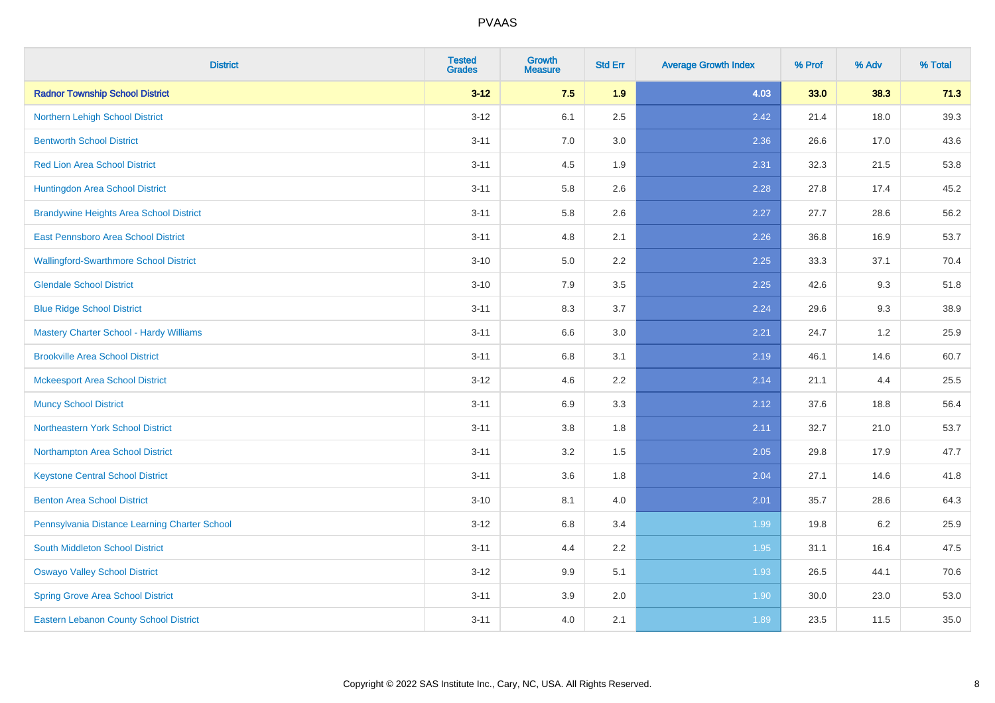| <b>District</b>                                | <b>Tested</b><br><b>Grades</b> | <b>Growth</b><br><b>Measure</b> | <b>Std Err</b> | <b>Average Growth Index</b> | % Prof | % Adv | % Total |
|------------------------------------------------|--------------------------------|---------------------------------|----------------|-----------------------------|--------|-------|---------|
| <b>Radnor Township School District</b>         | $3 - 12$                       | 7.5                             | 1.9            | 4.03                        | 33.0   | 38.3  | 71.3    |
| Northern Lehigh School District                | $3 - 12$                       | 6.1                             | 2.5            | 2.42                        | 21.4   | 18.0  | 39.3    |
| <b>Bentworth School District</b>               | $3 - 11$                       | 7.0                             | 3.0            | 2.36                        | 26.6   | 17.0  | 43.6    |
| <b>Red Lion Area School District</b>           | $3 - 11$                       | 4.5                             | 1.9            | 2.31                        | 32.3   | 21.5  | 53.8    |
| Huntingdon Area School District                | $3 - 11$                       | 5.8                             | 2.6            | 2.28                        | 27.8   | 17.4  | 45.2    |
| <b>Brandywine Heights Area School District</b> | $3 - 11$                       | 5.8                             | 2.6            | 2.27                        | 27.7   | 28.6  | 56.2    |
| East Pennsboro Area School District            | $3 - 11$                       | 4.8                             | 2.1            | 2.26                        | 36.8   | 16.9  | 53.7    |
| <b>Wallingford-Swarthmore School District</b>  | $3 - 10$                       | 5.0                             | 2.2            | 2.25                        | 33.3   | 37.1  | 70.4    |
| <b>Glendale School District</b>                | $3 - 10$                       | 7.9                             | 3.5            | 2.25                        | 42.6   | 9.3   | 51.8    |
| <b>Blue Ridge School District</b>              | $3 - 11$                       | 8.3                             | 3.7            | 2.24                        | 29.6   | 9.3   | 38.9    |
| Mastery Charter School - Hardy Williams        | $3 - 11$                       | 6.6                             | 3.0            | 2.21                        | 24.7   | 1.2   | 25.9    |
| <b>Brookville Area School District</b>         | $3 - 11$                       | 6.8                             | 3.1            | 2.19                        | 46.1   | 14.6  | 60.7    |
| <b>Mckeesport Area School District</b>         | $3 - 12$                       | 4.6                             | 2.2            | 2.14                        | 21.1   | 4.4   | 25.5    |
| <b>Muncy School District</b>                   | $3 - 11$                       | 6.9                             | 3.3            | 2.12                        | 37.6   | 18.8  | 56.4    |
| <b>Northeastern York School District</b>       | $3 - 11$                       | 3.8                             | 1.8            | 2.11                        | 32.7   | 21.0  | 53.7    |
| Northampton Area School District               | $3 - 11$                       | 3.2                             | 1.5            | 2.05                        | 29.8   | 17.9  | 47.7    |
| <b>Keystone Central School District</b>        | $3 - 11$                       | 3.6                             | 1.8            | 2.04                        | 27.1   | 14.6  | 41.8    |
| <b>Benton Area School District</b>             | $3 - 10$                       | 8.1                             | 4.0            | 2.01                        | 35.7   | 28.6  | 64.3    |
| Pennsylvania Distance Learning Charter School  | $3 - 12$                       | 6.8                             | 3.4            | 1.99                        | 19.8   | 6.2   | 25.9    |
| <b>South Middleton School District</b>         | $3 - 11$                       | 4.4                             | 2.2            | 1.95                        | 31.1   | 16.4  | 47.5    |
| <b>Oswayo Valley School District</b>           | $3-12$                         | 9.9                             | 5.1            | 1.93                        | 26.5   | 44.1  | 70.6    |
| <b>Spring Grove Area School District</b>       | $3 - 11$                       | 3.9                             | 2.0            | 1.90                        | 30.0   | 23.0  | 53.0    |
| <b>Eastern Lebanon County School District</b>  | $3 - 11$                       | 4.0                             | 2.1            | 1.89                        | 23.5   | 11.5  | 35.0    |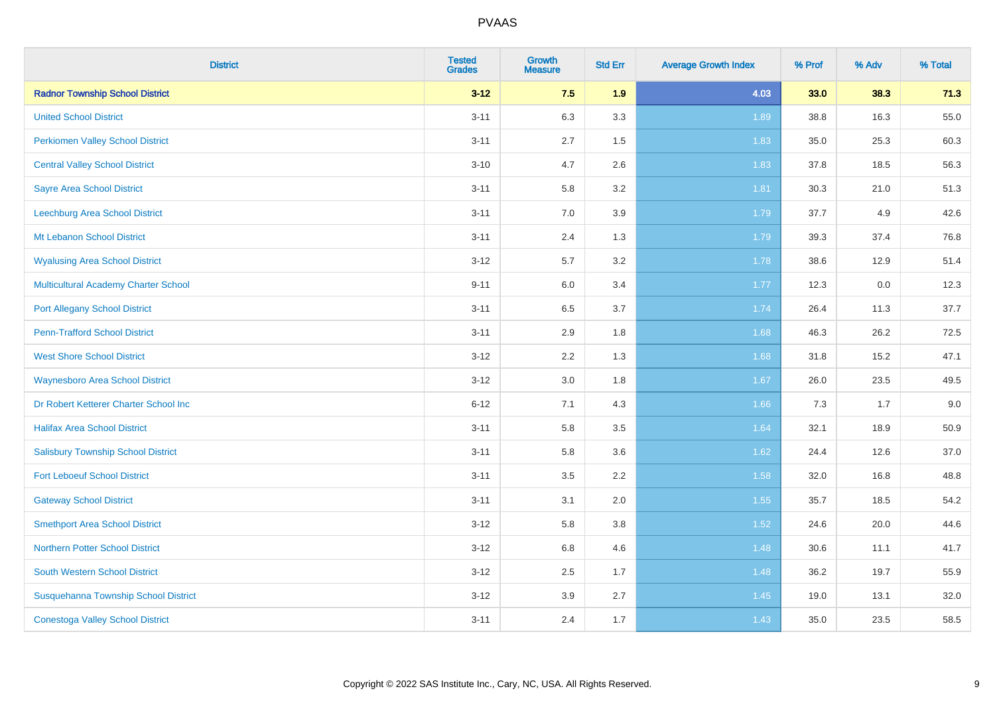| <b>District</b>                             | <b>Tested</b><br><b>Grades</b> | <b>Growth</b><br><b>Measure</b> | <b>Std Err</b> | <b>Average Growth Index</b> | % Prof | % Adv | % Total |
|---------------------------------------------|--------------------------------|---------------------------------|----------------|-----------------------------|--------|-------|---------|
| <b>Radnor Township School District</b>      | $3 - 12$                       | 7.5                             | 1.9            | 4.03                        | 33.0   | 38.3  | 71.3    |
| <b>United School District</b>               | $3 - 11$                       | 6.3                             | 3.3            | 1.89                        | 38.8   | 16.3  | 55.0    |
| <b>Perkiomen Valley School District</b>     | $3 - 11$                       | 2.7                             | 1.5            | 1.83                        | 35.0   | 25.3  | 60.3    |
| <b>Central Valley School District</b>       | $3 - 10$                       | 4.7                             | 2.6            | 1.83                        | 37.8   | 18.5  | 56.3    |
| <b>Sayre Area School District</b>           | $3 - 11$                       | 5.8                             | 3.2            | 1.81                        | 30.3   | 21.0  | 51.3    |
| Leechburg Area School District              | $3 - 11$                       | 7.0                             | 3.9            | 1.79                        | 37.7   | 4.9   | 42.6    |
| Mt Lebanon School District                  | $3 - 11$                       | 2.4                             | 1.3            | 1.79                        | 39.3   | 37.4  | 76.8    |
| <b>Wyalusing Area School District</b>       | $3 - 12$                       | 5.7                             | 3.2            | 1.78                        | 38.6   | 12.9  | 51.4    |
| <b>Multicultural Academy Charter School</b> | $9 - 11$                       | 6.0                             | 3.4            | 1.77                        | 12.3   | 0.0   | 12.3    |
| <b>Port Allegany School District</b>        | $3 - 11$                       | 6.5                             | 3.7            | 1.74                        | 26.4   | 11.3  | 37.7    |
| <b>Penn-Trafford School District</b>        | $3 - 11$                       | 2.9                             | 1.8            | 1.68                        | 46.3   | 26.2  | 72.5    |
| <b>West Shore School District</b>           | $3 - 12$                       | 2.2                             | 1.3            | 1.68                        | 31.8   | 15.2  | 47.1    |
| <b>Waynesboro Area School District</b>      | $3 - 12$                       | $3.0\,$                         | 1.8            | 1.67                        | 26.0   | 23.5  | 49.5    |
| Dr Robert Ketterer Charter School Inc       | $6 - 12$                       | 7.1                             | 4.3            | 1.66                        | 7.3    | 1.7   | 9.0     |
| <b>Halifax Area School District</b>         | $3 - 11$                       | 5.8                             | 3.5            | 1.64                        | 32.1   | 18.9  | 50.9    |
| <b>Salisbury Township School District</b>   | $3 - 11$                       | 5.8                             | 3.6            | 1.62                        | 24.4   | 12.6  | 37.0    |
| <b>Fort Leboeuf School District</b>         | $3 - 11$                       | 3.5                             | 2.2            | 1.58                        | 32.0   | 16.8  | 48.8    |
| <b>Gateway School District</b>              | $3 - 11$                       | 3.1                             | 2.0            | 1.55                        | 35.7   | 18.5  | 54.2    |
| <b>Smethport Area School District</b>       | $3 - 12$                       | 5.8                             | 3.8            | 1.52                        | 24.6   | 20.0  | 44.6    |
| <b>Northern Potter School District</b>      | $3 - 12$                       | $6.8\,$                         | 4.6            | 1.48                        | 30.6   | 11.1  | 41.7    |
| South Western School District               | $3 - 12$                       | 2.5                             | 1.7            | 1.48                        | 36.2   | 19.7  | 55.9    |
| Susquehanna Township School District        | $3 - 12$                       | 3.9                             | 2.7            | 1.45                        | 19.0   | 13.1  | 32.0    |
| <b>Conestoga Valley School District</b>     | $3 - 11$                       | 2.4                             | 1.7            | 1.43                        | 35.0   | 23.5  | 58.5    |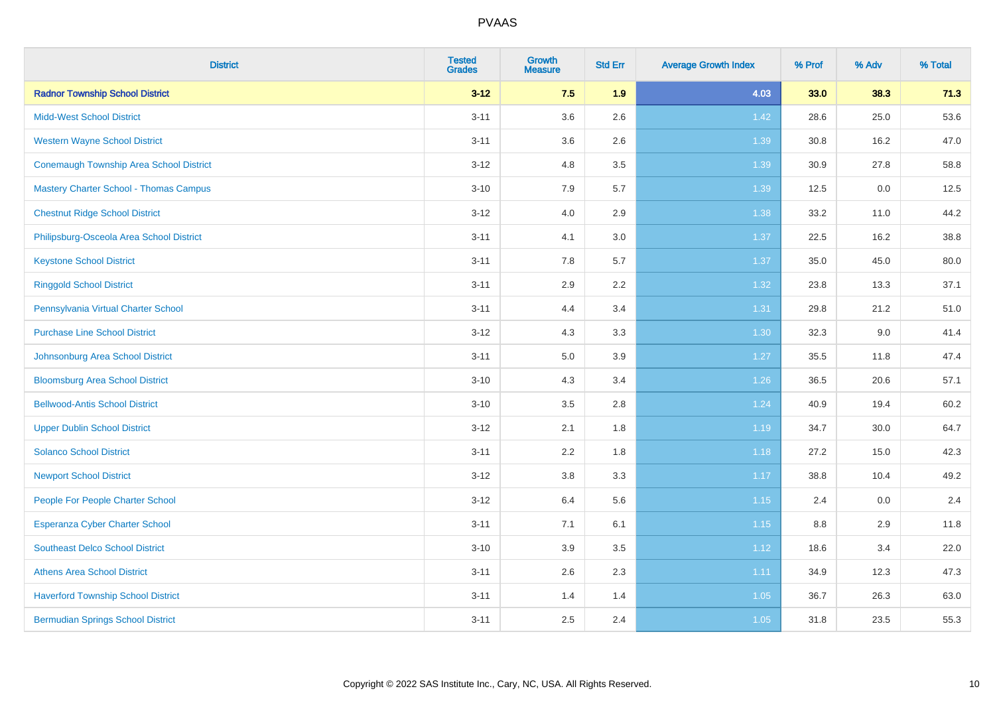| <b>District</b>                                | <b>Tested</b><br><b>Grades</b> | <b>Growth</b><br><b>Measure</b> | <b>Std Err</b> | <b>Average Growth Index</b> | % Prof | % Adv | % Total |
|------------------------------------------------|--------------------------------|---------------------------------|----------------|-----------------------------|--------|-------|---------|
| <b>Radnor Township School District</b>         | $3 - 12$                       | 7.5                             | 1.9            | 4.03                        | 33.0   | 38.3  | 71.3    |
| <b>Midd-West School District</b>               | $3 - 11$                       | 3.6                             | 2.6            | 1.42                        | 28.6   | 25.0  | 53.6    |
| <b>Western Wayne School District</b>           | $3 - 11$                       | 3.6                             | 2.6            | 1.39                        | 30.8   | 16.2  | 47.0    |
| <b>Conemaugh Township Area School District</b> | $3 - 12$                       | 4.8                             | 3.5            | 1.39                        | 30.9   | 27.8  | 58.8    |
| <b>Mastery Charter School - Thomas Campus</b>  | $3 - 10$                       | 7.9                             | 5.7            | 1.39                        | 12.5   | 0.0   | 12.5    |
| <b>Chestnut Ridge School District</b>          | $3 - 12$                       | 4.0                             | 2.9            | 1.38                        | 33.2   | 11.0  | 44.2    |
| Philipsburg-Osceola Area School District       | $3 - 11$                       | 4.1                             | 3.0            | 1.37                        | 22.5   | 16.2  | 38.8    |
| <b>Keystone School District</b>                | $3 - 11$                       | 7.8                             | 5.7            | 1.37                        | 35.0   | 45.0  | 80.0    |
| <b>Ringgold School District</b>                | $3 - 11$                       | 2.9                             | 2.2            | 1.32                        | 23.8   | 13.3  | 37.1    |
| Pennsylvania Virtual Charter School            | $3 - 11$                       | 4.4                             | 3.4            | 1.31                        | 29.8   | 21.2  | 51.0    |
| <b>Purchase Line School District</b>           | $3 - 12$                       | 4.3                             | 3.3            | 1.30                        | 32.3   | 9.0   | 41.4    |
| Johnsonburg Area School District               | $3 - 11$                       | 5.0                             | 3.9            | 1.27                        | 35.5   | 11.8  | 47.4    |
| <b>Bloomsburg Area School District</b>         | $3 - 10$                       | 4.3                             | 3.4            | $1.26$                      | 36.5   | 20.6  | 57.1    |
| <b>Bellwood-Antis School District</b>          | $3 - 10$                       | 3.5                             | 2.8            | 1.24                        | 40.9   | 19.4  | 60.2    |
| <b>Upper Dublin School District</b>            | $3-12$                         | 2.1                             | 1.8            | 1.19                        | 34.7   | 30.0  | 64.7    |
| <b>Solanco School District</b>                 | $3 - 11$                       | 2.2                             | 1.8            | 1.18                        | 27.2   | 15.0  | 42.3    |
| <b>Newport School District</b>                 | $3-12$                         | $3.8\,$                         | 3.3            | 1.17                        | 38.8   | 10.4  | 49.2    |
| People For People Charter School               | $3-12$                         | 6.4                             | 5.6            | 1.15                        | 2.4    | 0.0   | 2.4     |
| Esperanza Cyber Charter School                 | $3 - 11$                       | 7.1                             | 6.1            | 1.15                        | 8.8    | 2.9   | 11.8    |
| <b>Southeast Delco School District</b>         | $3 - 10$                       | 3.9                             | 3.5            | 1.12                        | 18.6   | 3.4   | 22.0    |
| <b>Athens Area School District</b>             | $3 - 11$                       | 2.6                             | 2.3            | 1.11                        | 34.9   | 12.3  | 47.3    |
| <b>Haverford Township School District</b>      | $3 - 11$                       | 1.4                             | 1.4            | 1.05                        | 36.7   | 26.3  | 63.0    |
| <b>Bermudian Springs School District</b>       | $3 - 11$                       | 2.5                             | 2.4            | 1.05                        | 31.8   | 23.5  | 55.3    |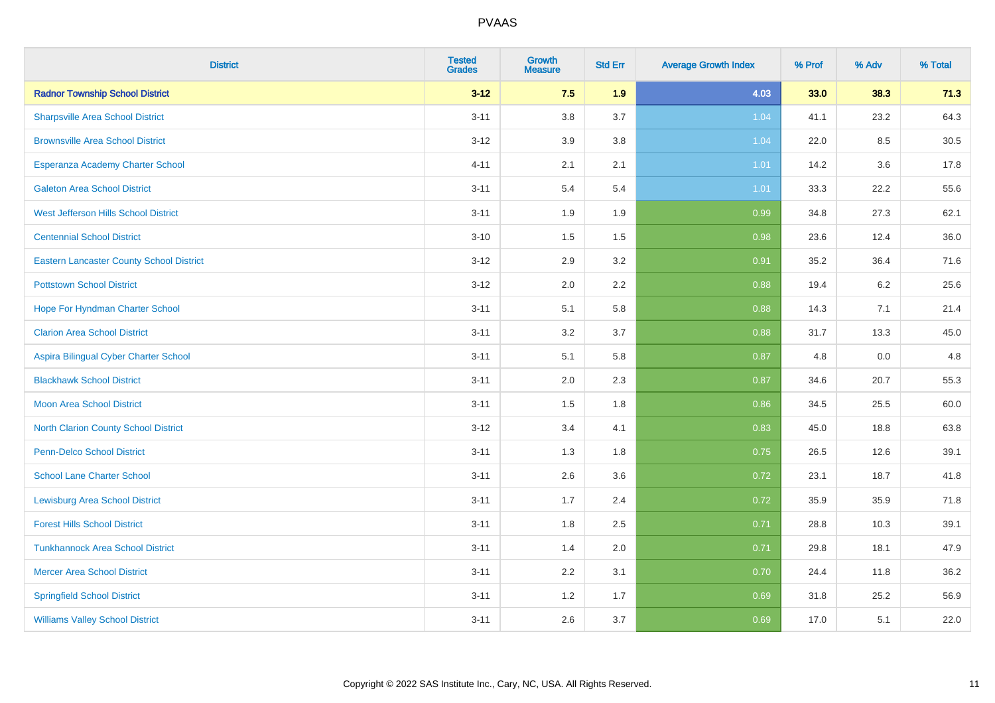| <b>District</b>                                 | <b>Tested</b><br><b>Grades</b> | <b>Growth</b><br><b>Measure</b> | <b>Std Err</b> | <b>Average Growth Index</b> | % Prof | % Adv | % Total |
|-------------------------------------------------|--------------------------------|---------------------------------|----------------|-----------------------------|--------|-------|---------|
| <b>Radnor Township School District</b>          | $3 - 12$                       | 7.5                             | 1.9            | 4.03                        | 33.0   | 38.3  | 71.3    |
| <b>Sharpsville Area School District</b>         | $3 - 11$                       | 3.8                             | 3.7            | 1.04                        | 41.1   | 23.2  | 64.3    |
| <b>Brownsville Area School District</b>         | $3 - 12$                       | 3.9                             | 3.8            | 1.04                        | 22.0   | 8.5   | 30.5    |
| Esperanza Academy Charter School                | $4 - 11$                       | 2.1                             | 2.1            | 1.01                        | 14.2   | 3.6   | 17.8    |
| <b>Galeton Area School District</b>             | $3 - 11$                       | 5.4                             | 5.4            | 1.01                        | 33.3   | 22.2  | 55.6    |
| West Jefferson Hills School District            | $3 - 11$                       | 1.9                             | 1.9            | 0.99                        | 34.8   | 27.3  | 62.1    |
| <b>Centennial School District</b>               | $3 - 10$                       | 1.5                             | $1.5$          | 0.98                        | 23.6   | 12.4  | 36.0    |
| <b>Eastern Lancaster County School District</b> | $3 - 12$                       | 2.9                             | 3.2            | 0.91                        | 35.2   | 36.4  | 71.6    |
| <b>Pottstown School District</b>                | $3 - 12$                       | 2.0                             | 2.2            | 0.88                        | 19.4   | 6.2   | 25.6    |
| Hope For Hyndman Charter School                 | $3 - 11$                       | 5.1                             | 5.8            | 0.88                        | 14.3   | 7.1   | 21.4    |
| <b>Clarion Area School District</b>             | $3 - 11$                       | 3.2                             | 3.7            | 0.88                        | 31.7   | 13.3  | 45.0    |
| Aspira Bilingual Cyber Charter School           | $3 - 11$                       | 5.1                             | 5.8            | 0.87                        | 4.8    | 0.0   | 4.8     |
| <b>Blackhawk School District</b>                | $3 - 11$                       | 2.0                             | 2.3            | 0.87                        | 34.6   | 20.7  | 55.3    |
| <b>Moon Area School District</b>                | $3 - 11$                       | 1.5                             | 1.8            | 0.86                        | 34.5   | 25.5  | 60.0    |
| <b>North Clarion County School District</b>     | $3 - 12$                       | 3.4                             | 4.1            | 0.83                        | 45.0   | 18.8  | 63.8    |
| Penn-Delco School District                      | $3 - 11$                       | 1.3                             | 1.8            | 0.75                        | 26.5   | 12.6  | 39.1    |
| <b>School Lane Charter School</b>               | $3 - 11$                       | 2.6                             | 3.6            | 0.72                        | 23.1   | 18.7  | 41.8    |
| <b>Lewisburg Area School District</b>           | $3 - 11$                       | 1.7                             | 2.4            | 0.72                        | 35.9   | 35.9  | 71.8    |
| <b>Forest Hills School District</b>             | $3 - 11$                       | 1.8                             | 2.5            | 0.71                        | 28.8   | 10.3  | 39.1    |
| <b>Tunkhannock Area School District</b>         | $3 - 11$                       | 1.4                             | 2.0            | 0.71                        | 29.8   | 18.1  | 47.9    |
| <b>Mercer Area School District</b>              | $3 - 11$                       | 2.2                             | 3.1            | 0.70                        | 24.4   | 11.8  | 36.2    |
| <b>Springfield School District</b>              | $3 - 11$                       | 1.2                             | 1.7            | 0.69                        | 31.8   | 25.2  | 56.9    |
| <b>Williams Valley School District</b>          | $3 - 11$                       | 2.6                             | 3.7            | 0.69                        | 17.0   | 5.1   | 22.0    |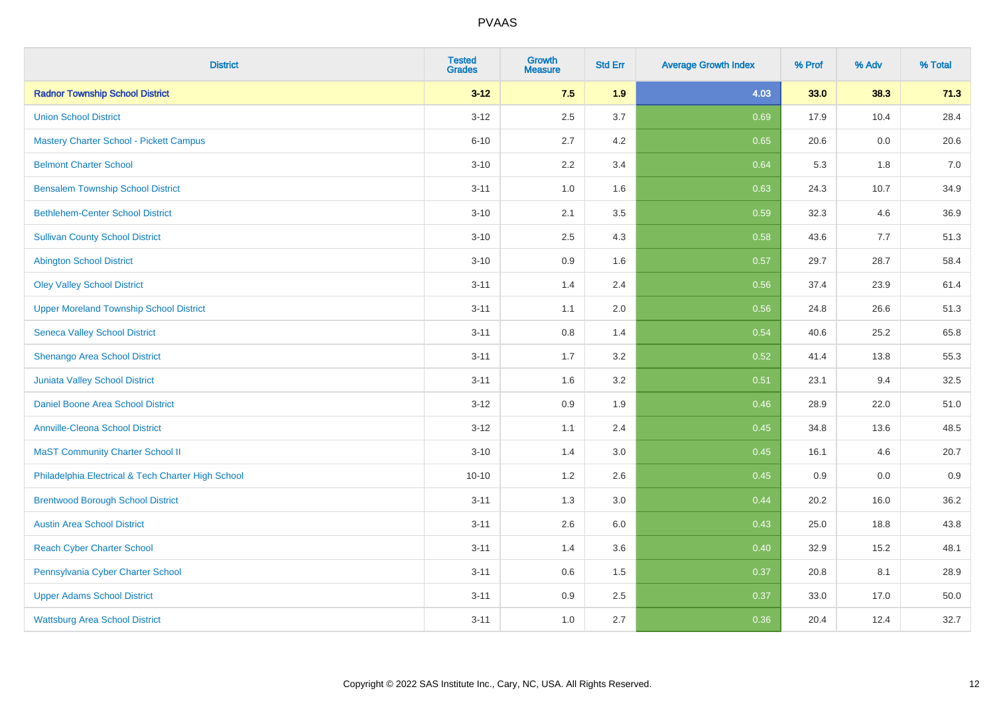| <b>District</b>                                    | <b>Tested</b><br><b>Grades</b> | <b>Growth</b><br><b>Measure</b> | <b>Std Err</b> | <b>Average Growth Index</b> | % Prof | % Adv | % Total |
|----------------------------------------------------|--------------------------------|---------------------------------|----------------|-----------------------------|--------|-------|---------|
| <b>Radnor Township School District</b>             | $3 - 12$                       | 7.5                             | 1.9            | 4.03                        | 33.0   | 38.3  | 71.3    |
| <b>Union School District</b>                       | $3 - 12$                       | 2.5                             | 3.7            | 0.69                        | 17.9   | 10.4  | 28.4    |
| <b>Mastery Charter School - Pickett Campus</b>     | $6 - 10$                       | 2.7                             | 4.2            | 0.65                        | 20.6   | 0.0   | 20.6    |
| <b>Belmont Charter School</b>                      | $3 - 10$                       | 2.2                             | 3.4            | 0.64                        | 5.3    | 1.8   | $7.0$   |
| <b>Bensalem Township School District</b>           | $3 - 11$                       | 1.0                             | 1.6            | 0.63                        | 24.3   | 10.7  | 34.9    |
| <b>Bethlehem-Center School District</b>            | $3 - 10$                       | 2.1                             | 3.5            | 0.59                        | 32.3   | 4.6   | 36.9    |
| <b>Sullivan County School District</b>             | $3 - 10$                       | 2.5                             | 4.3            | 0.58                        | 43.6   | 7.7   | 51.3    |
| <b>Abington School District</b>                    | $3 - 10$                       | 0.9                             | 1.6            | 0.57                        | 29.7   | 28.7  | 58.4    |
| <b>Oley Valley School District</b>                 | $3 - 11$                       | 1.4                             | 2.4            | 0.56                        | 37.4   | 23.9  | 61.4    |
| <b>Upper Moreland Township School District</b>     | $3 - 11$                       | 1.1                             | 2.0            | 0.56                        | 24.8   | 26.6  | 51.3    |
| <b>Seneca Valley School District</b>               | $3 - 11$                       | 0.8                             | 1.4            | 0.54                        | 40.6   | 25.2  | 65.8    |
| Shenango Area School District                      | $3 - 11$                       | 1.7                             | 3.2            | 0.52                        | 41.4   | 13.8  | 55.3    |
| Juniata Valley School District                     | $3 - 11$                       | 1.6                             | 3.2            | 0.51                        | 23.1   | 9.4   | 32.5    |
| Daniel Boone Area School District                  | $3 - 12$                       | 0.9                             | 1.9            | 0.46                        | 28.9   | 22.0  | 51.0    |
| <b>Annville-Cleona School District</b>             | $3 - 12$                       | 1.1                             | 2.4            | 0.45                        | 34.8   | 13.6  | 48.5    |
| <b>MaST Community Charter School II</b>            | $3 - 10$                       | 1.4                             | 3.0            | 0.45                        | 16.1   | 4.6   | 20.7    |
| Philadelphia Electrical & Tech Charter High School | $10 - 10$                      | 1.2                             | 2.6            | 0.45                        | 0.9    | 0.0   | 0.9     |
| <b>Brentwood Borough School District</b>           | $3 - 11$                       | 1.3                             | 3.0            | 0.44                        | 20.2   | 16.0  | 36.2    |
| <b>Austin Area School District</b>                 | $3 - 11$                       | 2.6                             | 6.0            | 0.43                        | 25.0   | 18.8  | 43.8    |
| <b>Reach Cyber Charter School</b>                  | $3 - 11$                       | 1.4                             | 3.6            | 0.40                        | 32.9   | 15.2  | 48.1    |
| Pennsylvania Cyber Charter School                  | $3 - 11$                       | 0.6                             | 1.5            | 0.37                        | 20.8   | 8.1   | 28.9    |
| <b>Upper Adams School District</b>                 | $3 - 11$                       | 0.9                             | 2.5            | 0.37                        | 33.0   | 17.0  | 50.0    |
| <b>Wattsburg Area School District</b>              | $3 - 11$                       | 1.0                             | 2.7            | 0.36                        | 20.4   | 12.4  | 32.7    |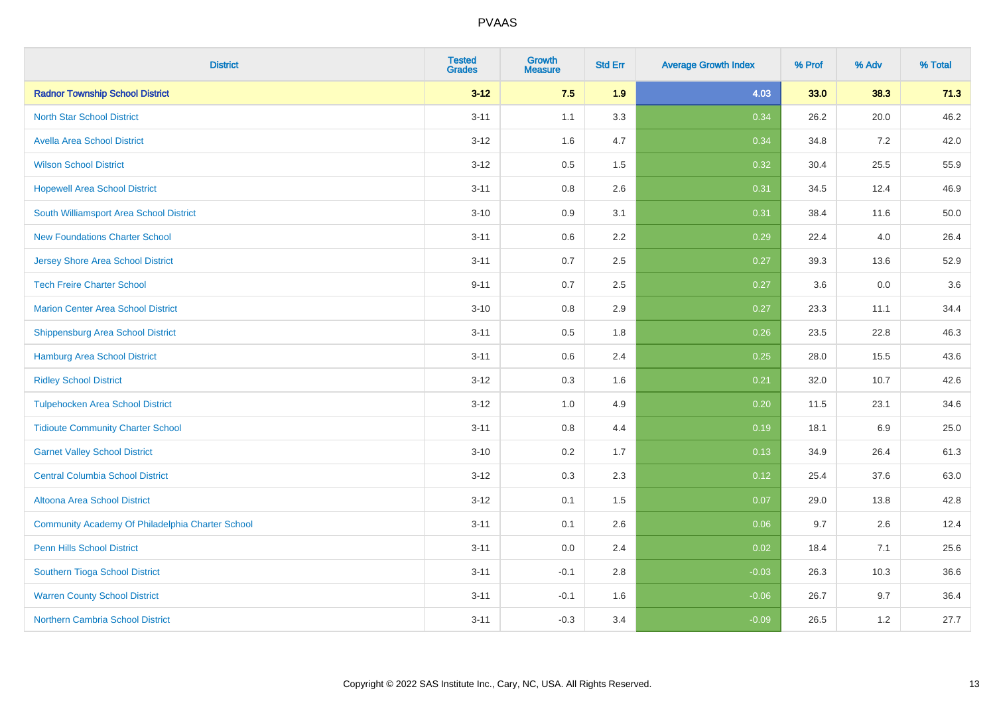| <b>District</b>                                  | <b>Tested</b><br><b>Grades</b> | <b>Growth</b><br><b>Measure</b> | <b>Std Err</b> | <b>Average Growth Index</b> | % Prof | % Adv | % Total |
|--------------------------------------------------|--------------------------------|---------------------------------|----------------|-----------------------------|--------|-------|---------|
| <b>Radnor Township School District</b>           | $3 - 12$                       | 7.5                             | 1.9            | 4.03                        | 33.0   | 38.3  | 71.3    |
| <b>North Star School District</b>                | $3 - 11$                       | 1.1                             | 3.3            | 0.34                        | 26.2   | 20.0  | 46.2    |
| <b>Avella Area School District</b>               | $3 - 12$                       | 1.6                             | 4.7            | 0.34                        | 34.8   | 7.2   | 42.0    |
| <b>Wilson School District</b>                    | $3 - 12$                       | 0.5                             | 1.5            | 0.32                        | 30.4   | 25.5  | 55.9    |
| <b>Hopewell Area School District</b>             | $3 - 11$                       | 0.8                             | 2.6            | 0.31                        | 34.5   | 12.4  | 46.9    |
| South Williamsport Area School District          | $3 - 10$                       | 0.9                             | 3.1            | 0.31                        | 38.4   | 11.6  | 50.0    |
| <b>New Foundations Charter School</b>            | $3 - 11$                       | 0.6                             | 2.2            | 0.29                        | 22.4   | 4.0   | 26.4    |
| <b>Jersey Shore Area School District</b>         | $3 - 11$                       | 0.7                             | 2.5            | 0.27                        | 39.3   | 13.6  | 52.9    |
| <b>Tech Freire Charter School</b>                | $9 - 11$                       | 0.7                             | 2.5            | 0.27                        | 3.6    | 0.0   | 3.6     |
| <b>Marion Center Area School District</b>        | $3 - 10$                       | 0.8                             | 2.9            | 0.27                        | 23.3   | 11.1  | 34.4    |
| <b>Shippensburg Area School District</b>         | $3 - 11$                       | 0.5                             | 1.8            | 0.26                        | 23.5   | 22.8  | 46.3    |
| <b>Hamburg Area School District</b>              | $3 - 11$                       | 0.6                             | 2.4            | 0.25                        | 28.0   | 15.5  | 43.6    |
| <b>Ridley School District</b>                    | $3 - 12$                       | 0.3                             | 1.6            | 0.21                        | 32.0   | 10.7  | 42.6    |
| <b>Tulpehocken Area School District</b>          | $3 - 12$                       | 1.0                             | 4.9            | 0.20                        | 11.5   | 23.1  | 34.6    |
| <b>Tidioute Community Charter School</b>         | $3 - 11$                       | 0.8                             | 4.4            | 0.19                        | 18.1   | 6.9   | 25.0    |
| <b>Garnet Valley School District</b>             | $3 - 10$                       | 0.2                             | 1.7            | 0.13                        | 34.9   | 26.4  | 61.3    |
| <b>Central Columbia School District</b>          | $3 - 12$                       | 0.3                             | 2.3            | 0.12                        | 25.4   | 37.6  | 63.0    |
| Altoona Area School District                     | $3 - 12$                       | 0.1                             | 1.5            | 0.07                        | 29.0   | 13.8  | 42.8    |
| Community Academy Of Philadelphia Charter School | $3 - 11$                       | 0.1                             | 2.6            | 0.06                        | 9.7    | 2.6   | 12.4    |
| Penn Hills School District                       | $3 - 11$                       | 0.0                             | 2.4            | 0.02                        | 18.4   | 7.1   | 25.6    |
| Southern Tioga School District                   | $3 - 11$                       | $-0.1$                          | 2.8            | $-0.03$                     | 26.3   | 10.3  | 36.6    |
| <b>Warren County School District</b>             | $3 - 11$                       | $-0.1$                          | 1.6            | $-0.06$                     | 26.7   | 9.7   | 36.4    |
| <b>Northern Cambria School District</b>          | $3 - 11$                       | $-0.3$                          | 3.4            | $-0.09$                     | 26.5   | 1.2   | 27.7    |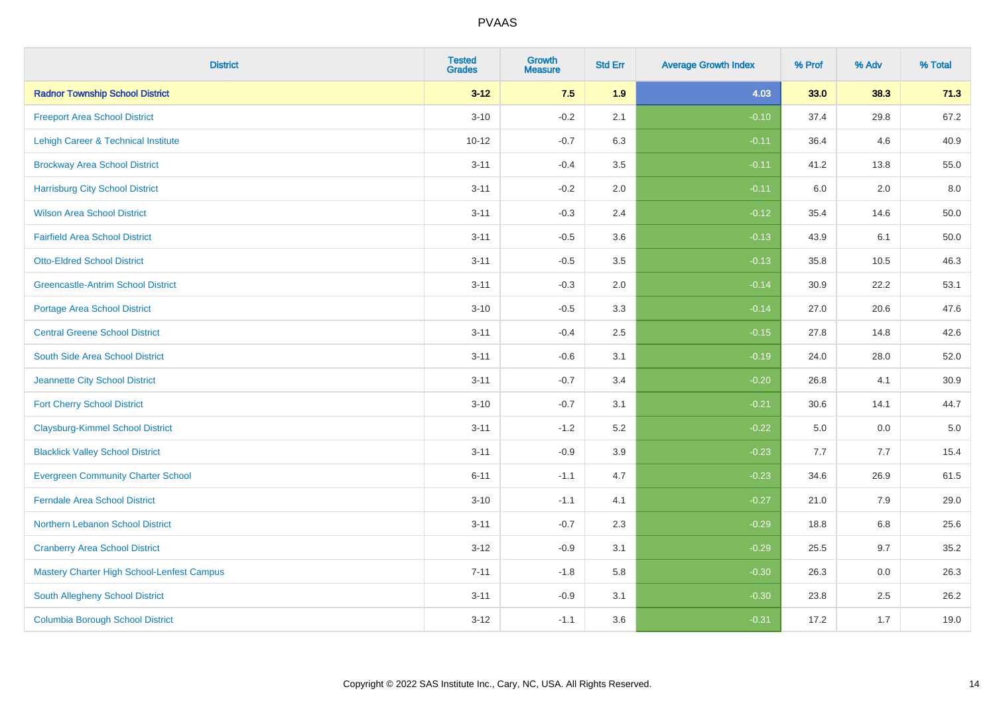| <b>District</b>                            | <b>Tested</b><br><b>Grades</b> | <b>Growth</b><br><b>Measure</b> | <b>Std Err</b> | <b>Average Growth Index</b> | % Prof | % Adv | % Total  |
|--------------------------------------------|--------------------------------|---------------------------------|----------------|-----------------------------|--------|-------|----------|
| <b>Radnor Township School District</b>     | $3 - 12$                       | 7.5                             | 1.9            | 4.03                        | 33.0   | 38.3  | 71.3     |
| <b>Freeport Area School District</b>       | $3 - 10$                       | $-0.2$                          | 2.1            | $-0.10$                     | 37.4   | 29.8  | 67.2     |
| Lehigh Career & Technical Institute        | $10 - 12$                      | $-0.7$                          | 6.3            | $-0.11$                     | 36.4   | 4.6   | 40.9     |
| <b>Brockway Area School District</b>       | $3 - 11$                       | $-0.4$                          | 3.5            | $-0.11$                     | 41.2   | 13.8  | 55.0     |
| <b>Harrisburg City School District</b>     | $3 - 11$                       | $-0.2$                          | 2.0            | $-0.11$                     | 6.0    | 2.0   | 8.0      |
| <b>Wilson Area School District</b>         | $3 - 11$                       | $-0.3$                          | 2.4            | $-0.12$                     | 35.4   | 14.6  | 50.0     |
| <b>Fairfield Area School District</b>      | $3 - 11$                       | $-0.5$                          | 3.6            | $-0.13$                     | 43.9   | 6.1   | $50.0\,$ |
| <b>Otto-Eldred School District</b>         | $3 - 11$                       | $-0.5$                          | 3.5            | $-0.13$                     | 35.8   | 10.5  | 46.3     |
| <b>Greencastle-Antrim School District</b>  | $3 - 11$                       | $-0.3$                          | 2.0            | $-0.14$                     | 30.9   | 22.2  | 53.1     |
| <b>Portage Area School District</b>        | $3 - 10$                       | $-0.5$                          | 3.3            | $-0.14$                     | 27.0   | 20.6  | 47.6     |
| <b>Central Greene School District</b>      | $3 - 11$                       | $-0.4$                          | 2.5            | $-0.15$                     | 27.8   | 14.8  | 42.6     |
| <b>South Side Area School District</b>     | $3 - 11$                       | $-0.6$                          | 3.1            | $-0.19$                     | 24.0   | 28.0  | 52.0     |
| Jeannette City School District             | $3 - 11$                       | $-0.7$                          | 3.4            | $-0.20$                     | 26.8   | 4.1   | 30.9     |
| <b>Fort Cherry School District</b>         | $3 - 10$                       | $-0.7$                          | 3.1            | $-0.21$                     | 30.6   | 14.1  | 44.7     |
| <b>Claysburg-Kimmel School District</b>    | $3 - 11$                       | $-1.2$                          | 5.2            | $-0.22$                     | 5.0    | 0.0   | $5.0\,$  |
| <b>Blacklick Valley School District</b>    | $3 - 11$                       | $-0.9$                          | 3.9            | $-0.23$                     | 7.7    | 7.7   | 15.4     |
| <b>Evergreen Community Charter School</b>  | $6 - 11$                       | $-1.1$                          | 4.7            | $-0.23$                     | 34.6   | 26.9  | 61.5     |
| <b>Ferndale Area School District</b>       | $3 - 10$                       | $-1.1$                          | 4.1            | $-0.27$                     | 21.0   | 7.9   | 29.0     |
| Northern Lebanon School District           | $3 - 11$                       | $-0.7$                          | 2.3            | $-0.29$                     | 18.8   | 6.8   | 25.6     |
| <b>Cranberry Area School District</b>      | $3 - 12$                       | $-0.9$                          | 3.1            | $-0.29$                     | 25.5   | 9.7   | 35.2     |
| Mastery Charter High School-Lenfest Campus | $7 - 11$                       | $-1.8$                          | 5.8            | $-0.30$                     | 26.3   | 0.0   | 26.3     |
| South Allegheny School District            | $3 - 11$                       | $-0.9$                          | 3.1            | $-0.30$                     | 23.8   | 2.5   | 26.2     |
| <b>Columbia Borough School District</b>    | $3-12$                         | $-1.1$                          | 3.6            | $-0.31$                     | 17.2   | 1.7   | 19.0     |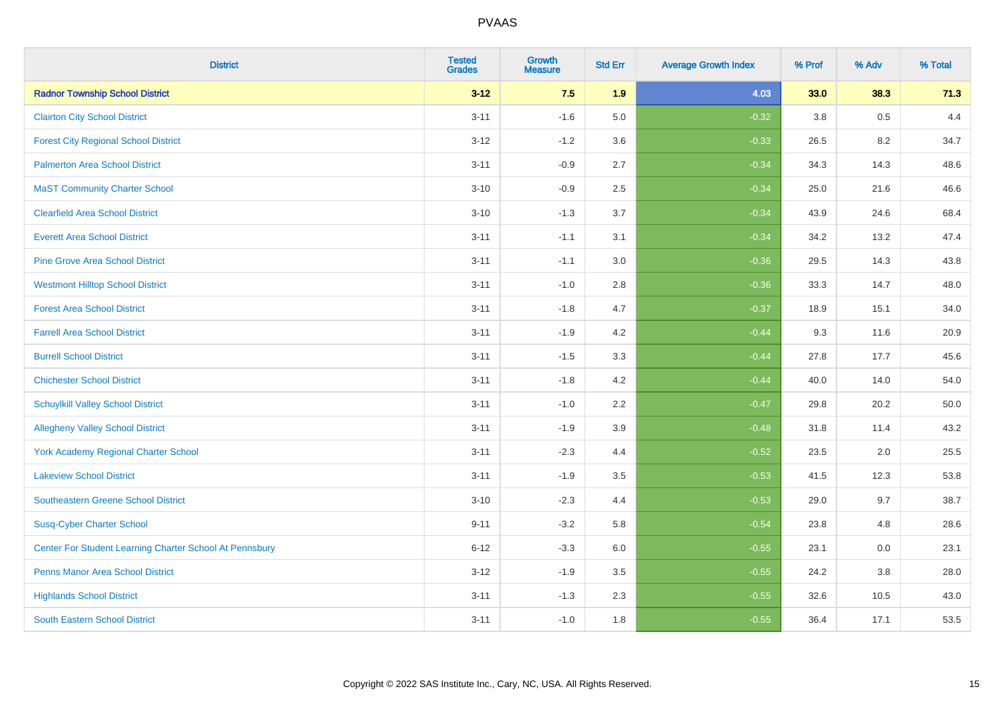| <b>District</b>                                         | <b>Tested</b><br><b>Grades</b> | <b>Growth</b><br><b>Measure</b> | <b>Std Err</b> | <b>Average Growth Index</b> | % Prof | % Adv | % Total |
|---------------------------------------------------------|--------------------------------|---------------------------------|----------------|-----------------------------|--------|-------|---------|
| <b>Radnor Township School District</b>                  | $3 - 12$                       | 7.5                             | 1.9            | 4.03                        | 33.0   | 38.3  | 71.3    |
| <b>Clairton City School District</b>                    | $3 - 11$                       | $-1.6$                          | 5.0            | $-0.32$                     | 3.8    | 0.5   | 4.4     |
| <b>Forest City Regional School District</b>             | $3 - 12$                       | $-1.2$                          | 3.6            | $-0.33$                     | 26.5   | 8.2   | 34.7    |
| <b>Palmerton Area School District</b>                   | $3 - 11$                       | $-0.9$                          | 2.7            | $-0.34$                     | 34.3   | 14.3  | 48.6    |
| <b>MaST Community Charter School</b>                    | $3 - 10$                       | $-0.9$                          | 2.5            | $-0.34$                     | 25.0   | 21.6  | 46.6    |
| <b>Clearfield Area School District</b>                  | $3 - 10$                       | $-1.3$                          | 3.7            | $-0.34$                     | 43.9   | 24.6  | 68.4    |
| <b>Everett Area School District</b>                     | $3 - 11$                       | $-1.1$                          | 3.1            | $-0.34$                     | 34.2   | 13.2  | 47.4    |
| <b>Pine Grove Area School District</b>                  | $3 - 11$                       | $-1.1$                          | 3.0            | $-0.36$                     | 29.5   | 14.3  | 43.8    |
| <b>Westmont Hilltop School District</b>                 | $3 - 11$                       | $-1.0$                          | 2.8            | $-0.36$                     | 33.3   | 14.7  | 48.0    |
| <b>Forest Area School District</b>                      | $3 - 11$                       | $-1.8$                          | 4.7            | $-0.37$                     | 18.9   | 15.1  | 34.0    |
| <b>Farrell Area School District</b>                     | $3 - 11$                       | $-1.9$                          | 4.2            | $-0.44$                     | 9.3    | 11.6  | 20.9    |
| <b>Burrell School District</b>                          | $3 - 11$                       | $-1.5$                          | 3.3            | $-0.44$                     | 27.8   | 17.7  | 45.6    |
| <b>Chichester School District</b>                       | $3 - 11$                       | $-1.8$                          | 4.2            | $-0.44$                     | 40.0   | 14.0  | 54.0    |
| <b>Schuylkill Valley School District</b>                | $3 - 11$                       | $-1.0$                          | 2.2            | $-0.47$                     | 29.8   | 20.2  | 50.0    |
| <b>Allegheny Valley School District</b>                 | $3 - 11$                       | $-1.9$                          | 3.9            | $-0.48$                     | 31.8   | 11.4  | 43.2    |
| York Academy Regional Charter School                    | $3 - 11$                       | $-2.3$                          | 4.4            | $-0.52$                     | 23.5   | 2.0   | 25.5    |
| <b>Lakeview School District</b>                         | $3 - 11$                       | $-1.9$                          | 3.5            | $-0.53$                     | 41.5   | 12.3  | 53.8    |
| <b>Southeastern Greene School District</b>              | $3 - 10$                       | $-2.3$                          | 4.4            | $-0.53$                     | 29.0   | 9.7   | 38.7    |
| <b>Susq-Cyber Charter School</b>                        | $9 - 11$                       | $-3.2$                          | 5.8            | $-0.54$                     | 23.8   | 4.8   | 28.6    |
| Center For Student Learning Charter School At Pennsbury | $6 - 12$                       | $-3.3$                          | 6.0            | $-0.55$                     | 23.1   | 0.0   | 23.1    |
| <b>Penns Manor Area School District</b>                 | $3 - 12$                       | $-1.9$                          | 3.5            | $-0.55$                     | 24.2   | 3.8   | 28.0    |
| <b>Highlands School District</b>                        | $3 - 11$                       | $-1.3$                          | 2.3            | $-0.55$                     | 32.6   | 10.5  | 43.0    |
| <b>South Eastern School District</b>                    | $3 - 11$                       | $-1.0$                          | 1.8            | $-0.55$                     | 36.4   | 17.1  | 53.5    |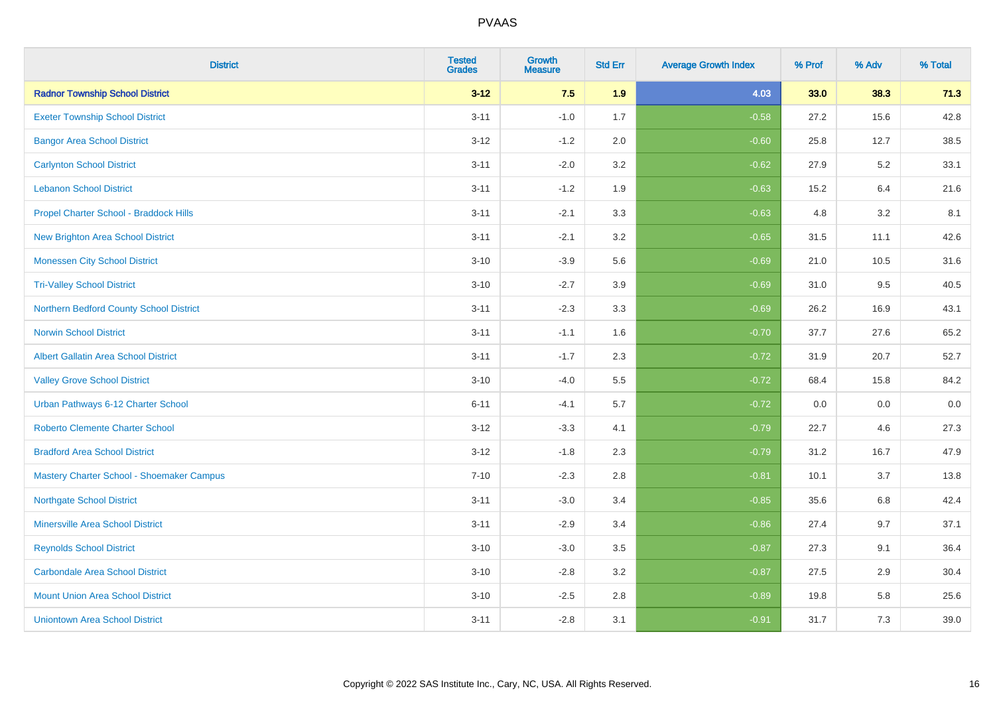| <b>District</b>                             | <b>Tested</b><br><b>Grades</b> | <b>Growth</b><br><b>Measure</b> | <b>Std Err</b> | <b>Average Growth Index</b> | % Prof | % Adv | % Total |
|---------------------------------------------|--------------------------------|---------------------------------|----------------|-----------------------------|--------|-------|---------|
| <b>Radnor Township School District</b>      | $3 - 12$                       | 7.5                             | 1.9            | 4.03                        | 33.0   | 38.3  | 71.3    |
| <b>Exeter Township School District</b>      | $3 - 11$                       | $-1.0$                          | 1.7            | $-0.58$                     | 27.2   | 15.6  | 42.8    |
| <b>Bangor Area School District</b>          | $3 - 12$                       | $-1.2$                          | 2.0            | $-0.60$                     | 25.8   | 12.7  | 38.5    |
| <b>Carlynton School District</b>            | $3 - 11$                       | $-2.0$                          | 3.2            | $-0.62$                     | 27.9   | 5.2   | 33.1    |
| <b>Lebanon School District</b>              | $3 - 11$                       | $-1.2$                          | 1.9            | $-0.63$                     | 15.2   | 6.4   | 21.6    |
| Propel Charter School - Braddock Hills      | $3 - 11$                       | $-2.1$                          | 3.3            | $-0.63$                     | 4.8    | 3.2   | 8.1     |
| <b>New Brighton Area School District</b>    | $3 - 11$                       | $-2.1$                          | 3.2            | $-0.65$                     | 31.5   | 11.1  | 42.6    |
| <b>Monessen City School District</b>        | $3 - 10$                       | $-3.9$                          | 5.6            | $-0.69$                     | 21.0   | 10.5  | 31.6    |
| <b>Tri-Valley School District</b>           | $3 - 10$                       | $-2.7$                          | 3.9            | $-0.69$                     | 31.0   | 9.5   | 40.5    |
| Northern Bedford County School District     | $3 - 11$                       | $-2.3$                          | 3.3            | $-0.69$                     | 26.2   | 16.9  | 43.1    |
| <b>Norwin School District</b>               | $3 - 11$                       | $-1.1$                          | 1.6            | $-0.70$                     | 37.7   | 27.6  | 65.2    |
| <b>Albert Gallatin Area School District</b> | $3 - 11$                       | $-1.7$                          | 2.3            | $-0.72$                     | 31.9   | 20.7  | 52.7    |
| <b>Valley Grove School District</b>         | $3 - 10$                       | $-4.0$                          | 5.5            | $-0.72$                     | 68.4   | 15.8  | 84.2    |
| Urban Pathways 6-12 Charter School          | $6 - 11$                       | $-4.1$                          | 5.7            | $-0.72$                     | 0.0    | 0.0   | $0.0\,$ |
| <b>Roberto Clemente Charter School</b>      | $3 - 12$                       | $-3.3$                          | 4.1            | $-0.79$                     | 22.7   | 4.6   | 27.3    |
| <b>Bradford Area School District</b>        | $3 - 12$                       | $-1.8$                          | 2.3            | $-0.79$                     | 31.2   | 16.7  | 47.9    |
| Mastery Charter School - Shoemaker Campus   | $7 - 10$                       | $-2.3$                          | 2.8            | $-0.81$                     | 10.1   | 3.7   | 13.8    |
| <b>Northgate School District</b>            | $3 - 11$                       | $-3.0$                          | 3.4            | $-0.85$                     | 35.6   | 6.8   | 42.4    |
| <b>Minersville Area School District</b>     | $3 - 11$                       | $-2.9$                          | 3.4            | $-0.86$                     | 27.4   | 9.7   | 37.1    |
| <b>Reynolds School District</b>             | $3 - 10$                       | $-3.0$                          | 3.5            | $-0.87$                     | 27.3   | 9.1   | 36.4    |
| <b>Carbondale Area School District</b>      | $3 - 10$                       | $-2.8$                          | 3.2            | $-0.87$                     | 27.5   | 2.9   | 30.4    |
| <b>Mount Union Area School District</b>     | $3 - 10$                       | $-2.5$                          | 2.8            | $-0.89$                     | 19.8   | 5.8   | 25.6    |
| <b>Uniontown Area School District</b>       | $3 - 11$                       | $-2.8$                          | 3.1            | $-0.91$                     | 31.7   | 7.3   | 39.0    |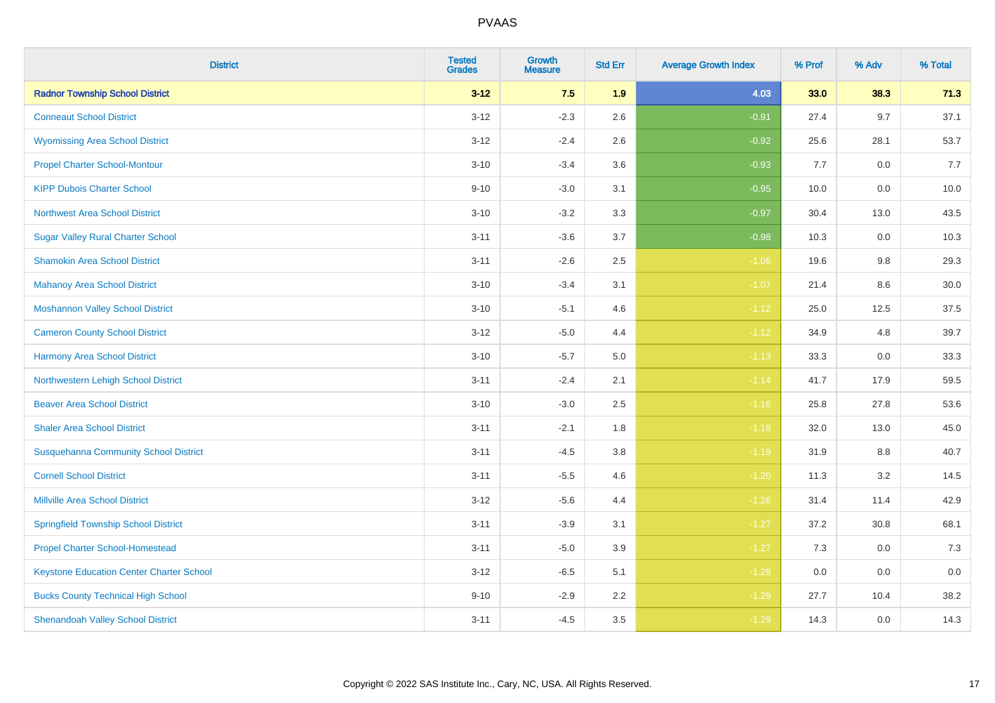| <b>District</b>                                 | <b>Tested</b><br><b>Grades</b> | <b>Growth</b><br><b>Measure</b> | <b>Std Err</b> | <b>Average Growth Index</b> | % Prof | % Adv   | % Total |
|-------------------------------------------------|--------------------------------|---------------------------------|----------------|-----------------------------|--------|---------|---------|
| <b>Radnor Township School District</b>          | $3 - 12$                       | 7.5                             | 1.9            | 4.03                        | 33.0   | 38.3    | 71.3    |
| <b>Conneaut School District</b>                 | $3 - 12$                       | $-2.3$                          | 2.6            | $-0.91$                     | 27.4   | 9.7     | 37.1    |
| <b>Wyomissing Area School District</b>          | $3 - 12$                       | $-2.4$                          | 2.6            | $-0.92$                     | 25.6   | 28.1    | 53.7    |
| <b>Propel Charter School-Montour</b>            | $3 - 10$                       | $-3.4$                          | 3.6            | $-0.93$                     | 7.7    | $0.0\,$ | 7.7     |
| <b>KIPP Dubois Charter School</b>               | $9 - 10$                       | $-3.0$                          | 3.1            | $-0.95$                     | 10.0   | 0.0     | 10.0    |
| <b>Northwest Area School District</b>           | $3 - 10$                       | $-3.2$                          | 3.3            | $-0.97$                     | 30.4   | 13.0    | 43.5    |
| <b>Sugar Valley Rural Charter School</b>        | $3 - 11$                       | $-3.6$                          | 3.7            | $-0.98$                     | 10.3   | 0.0     | 10.3    |
| <b>Shamokin Area School District</b>            | $3 - 11$                       | $-2.6$                          | 2.5            | $-1.06$                     | 19.6   | 9.8     | 29.3    |
| <b>Mahanoy Area School District</b>             | $3 - 10$                       | $-3.4$                          | 3.1            | $-1.07$                     | 21.4   | 8.6     | 30.0    |
| <b>Moshannon Valley School District</b>         | $3 - 10$                       | $-5.1$                          | 4.6            | $-1.12$                     | 25.0   | 12.5    | 37.5    |
| <b>Cameron County School District</b>           | $3 - 12$                       | $-5.0$                          | 4.4            | $-1.12$                     | 34.9   | 4.8     | 39.7    |
| <b>Harmony Area School District</b>             | $3 - 10$                       | $-5.7$                          | $5.0\,$        | $-1.13$                     | 33.3   | 0.0     | 33.3    |
| Northwestern Lehigh School District             | $3 - 11$                       | $-2.4$                          | 2.1            | $-1.14$                     | 41.7   | 17.9    | 59.5    |
| <b>Beaver Area School District</b>              | $3 - 10$                       | $-3.0$                          | 2.5            | $-1.16$                     | 25.8   | 27.8    | 53.6    |
| <b>Shaler Area School District</b>              | $3 - 11$                       | $-2.1$                          | 1.8            | $-1.18$                     | 32.0   | 13.0    | 45.0    |
| <b>Susquehanna Community School District</b>    | $3 - 11$                       | $-4.5$                          | 3.8            | $-1.19$                     | 31.9   | $8.8\,$ | 40.7    |
| <b>Cornell School District</b>                  | $3 - 11$                       | $-5.5$                          | 4.6            | $-1.20$                     | 11.3   | $3.2\,$ | 14.5    |
| <b>Millville Area School District</b>           | $3 - 12$                       | $-5.6$                          | 4.4            | $-1.26$                     | 31.4   | 11.4    | 42.9    |
| <b>Springfield Township School District</b>     | $3 - 11$                       | $-3.9$                          | 3.1            | $-1.27$                     | 37.2   | 30.8    | 68.1    |
| <b>Propel Charter School-Homestead</b>          | $3 - 11$                       | $-5.0$                          | 3.9            | $-1.27$                     | 7.3    | 0.0     | 7.3     |
| <b>Keystone Education Center Charter School</b> | $3 - 12$                       | $-6.5$                          | 5.1            | $-1.28$                     | 0.0    | 0.0     | 0.0     |
| <b>Bucks County Technical High School</b>       | $9 - 10$                       | $-2.9$                          | 2.2            | $-1.29$                     | 27.7   | 10.4    | 38.2    |
| <b>Shenandoah Valley School District</b>        | $3 - 11$                       | $-4.5$                          | 3.5            | $-1.29$                     | 14.3   | 0.0     | 14.3    |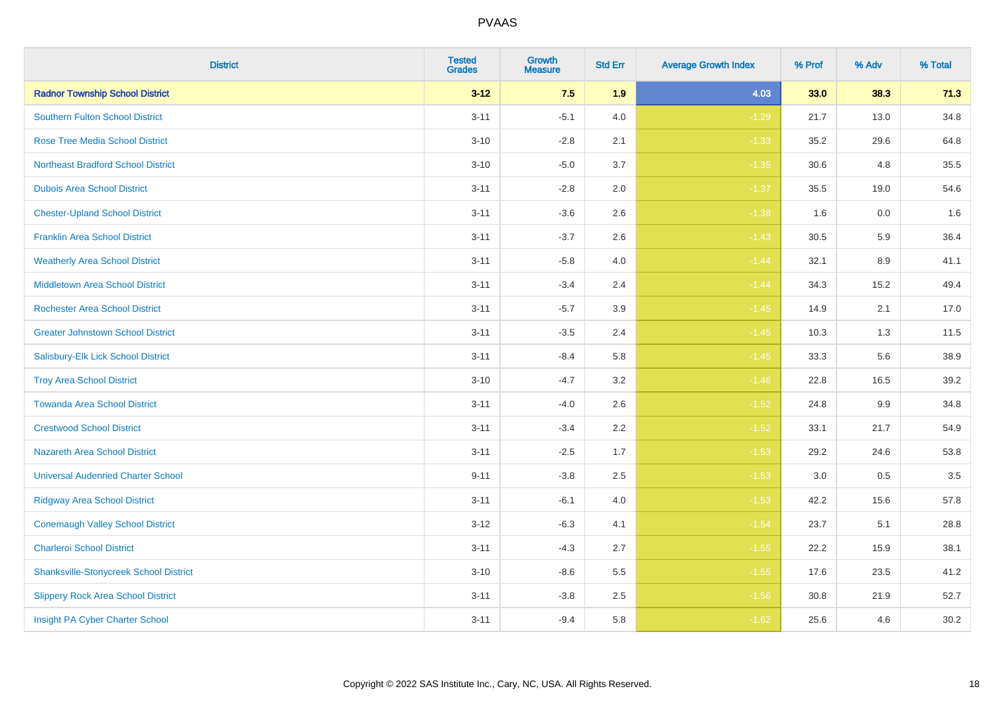| <b>District</b>                               | <b>Tested</b><br><b>Grades</b> | <b>Growth</b><br><b>Measure</b> | <b>Std Err</b> | <b>Average Growth Index</b> | % Prof | % Adv | % Total |
|-----------------------------------------------|--------------------------------|---------------------------------|----------------|-----------------------------|--------|-------|---------|
| <b>Radnor Township School District</b>        | $3 - 12$                       | 7.5                             | 1.9            | 4.03                        | 33.0   | 38.3  | 71.3    |
| Southern Fulton School District               | $3 - 11$                       | $-5.1$                          | 4.0            | $-1.29$                     | 21.7   | 13.0  | 34.8    |
| <b>Rose Tree Media School District</b>        | $3 - 10$                       | $-2.8$                          | 2.1            | $-1.33$                     | 35.2   | 29.6  | 64.8    |
| <b>Northeast Bradford School District</b>     | $3 - 10$                       | $-5.0$                          | 3.7            | $-1.35$                     | 30.6   | 4.8   | 35.5    |
| <b>Dubois Area School District</b>            | $3 - 11$                       | $-2.8$                          | 2.0            | $-1.37$                     | 35.5   | 19.0  | 54.6    |
| <b>Chester-Upland School District</b>         | $3 - 11$                       | $-3.6$                          | 2.6            | $-1.38$                     | 1.6    | 0.0   | 1.6     |
| <b>Franklin Area School District</b>          | $3 - 11$                       | $-3.7$                          | 2.6            | $-1.43$                     | 30.5   | 5.9   | 36.4    |
| <b>Weatherly Area School District</b>         | $3 - 11$                       | $-5.8$                          | $4.0$          | $-1.44$                     | 32.1   | 8.9   | 41.1    |
| <b>Middletown Area School District</b>        | $3 - 11$                       | $-3.4$                          | 2.4            | $-1.44$                     | 34.3   | 15.2  | 49.4    |
| <b>Rochester Area School District</b>         | $3 - 11$                       | $-5.7$                          | 3.9            | $-1.45$                     | 14.9   | 2.1   | 17.0    |
| <b>Greater Johnstown School District</b>      | $3 - 11$                       | $-3.5$                          | 2.4            | $-1.45$                     | 10.3   | 1.3   | 11.5    |
| Salisbury-Elk Lick School District            | $3 - 11$                       | $-8.4$                          | 5.8            | $-1.45$                     | 33.3   | 5.6   | 38.9    |
| <b>Troy Area School District</b>              | $3 - 10$                       | $-4.7$                          | $3.2\,$        | $-1.46$                     | 22.8   | 16.5  | 39.2    |
| <b>Towanda Area School District</b>           | $3 - 11$                       | $-4.0$                          | 2.6            | $-1.52$                     | 24.8   | 9.9   | 34.8    |
| <b>Crestwood School District</b>              | $3 - 11$                       | $-3.4$                          | 2.2            | $-1.52$                     | 33.1   | 21.7  | 54.9    |
| <b>Nazareth Area School District</b>          | $3 - 11$                       | $-2.5$                          | 1.7            | $-1.53$                     | 29.2   | 24.6  | 53.8    |
| <b>Universal Audenried Charter School</b>     | $9 - 11$                       | $-3.8$                          | 2.5            | $-1.53$                     | 3.0    | 0.5   | 3.5     |
| <b>Ridgway Area School District</b>           | $3 - 11$                       | $-6.1$                          | 4.0            | $-1.53$                     | 42.2   | 15.6  | 57.8    |
| <b>Conemaugh Valley School District</b>       | $3-12$                         | $-6.3$                          | 4.1            | $-1.54$                     | 23.7   | 5.1   | 28.8    |
| <b>Charleroi School District</b>              | $3 - 11$                       | $-4.3$                          | 2.7            | $-1.55$                     | 22.2   | 15.9  | 38.1    |
| <b>Shanksville-Stonycreek School District</b> | $3 - 10$                       | $-8.6$                          | 5.5            | $-1.55$                     | 17.6   | 23.5  | 41.2    |
| <b>Slippery Rock Area School District</b>     | $3 - 11$                       | $-3.8$                          | 2.5            | $-1.56$                     | 30.8   | 21.9  | 52.7    |
| Insight PA Cyber Charter School               | $3 - 11$                       | $-9.4$                          | 5.8            | $-1.62$                     | 25.6   | 4.6   | 30.2    |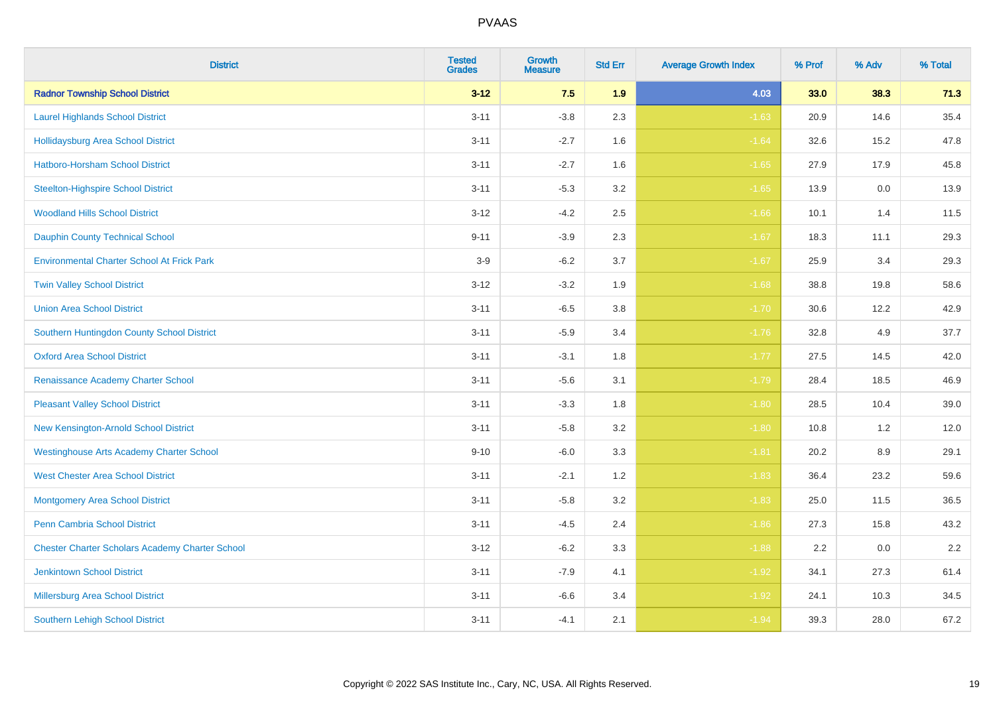| <b>District</b>                                        | <b>Tested</b><br><b>Grades</b> | Growth<br><b>Measure</b> | <b>Std Err</b> | <b>Average Growth Index</b> | % Prof | % Adv | % Total |
|--------------------------------------------------------|--------------------------------|--------------------------|----------------|-----------------------------|--------|-------|---------|
| <b>Radnor Township School District</b>                 | $3 - 12$                       | 7.5                      | 1.9            | 4.03                        | 33.0   | 38.3  | 71.3    |
| <b>Laurel Highlands School District</b>                | $3 - 11$                       | $-3.8$                   | 2.3            | $-1.63$                     | 20.9   | 14.6  | 35.4    |
| <b>Hollidaysburg Area School District</b>              | $3 - 11$                       | $-2.7$                   | 1.6            | $-1.64$                     | 32.6   | 15.2  | 47.8    |
| Hatboro-Horsham School District                        | $3 - 11$                       | $-2.7$                   | 1.6            | $-1.65$                     | 27.9   | 17.9  | 45.8    |
| <b>Steelton-Highspire School District</b>              | $3 - 11$                       | $-5.3$                   | 3.2            | $-1.65$                     | 13.9   | 0.0   | 13.9    |
| <b>Woodland Hills School District</b>                  | $3 - 12$                       | $-4.2$                   | 2.5            | $-1.66$                     | 10.1   | 1.4   | 11.5    |
| <b>Dauphin County Technical School</b>                 | $9 - 11$                       | $-3.9$                   | 2.3            | $-1.67$                     | 18.3   | 11.1  | 29.3    |
| <b>Environmental Charter School At Frick Park</b>      | $3-9$                          | $-6.2$                   | 3.7            | $-1.67$                     | 25.9   | 3.4   | 29.3    |
| <b>Twin Valley School District</b>                     | $3 - 12$                       | $-3.2$                   | 1.9            | $-1.68$                     | 38.8   | 19.8  | 58.6    |
| <b>Union Area School District</b>                      | $3 - 11$                       | $-6.5$                   | 3.8            | $-1.70$                     | 30.6   | 12.2  | 42.9    |
| Southern Huntingdon County School District             | $3 - 11$                       | $-5.9$                   | 3.4            | $-1.76$                     | 32.8   | 4.9   | 37.7    |
| <b>Oxford Area School District</b>                     | $3 - 11$                       | $-3.1$                   | 1.8            | $-1.77$                     | 27.5   | 14.5  | 42.0    |
| Renaissance Academy Charter School                     | $3 - 11$                       | $-5.6$                   | 3.1            | $-1.79$                     | 28.4   | 18.5  | 46.9    |
| <b>Pleasant Valley School District</b>                 | $3 - 11$                       | $-3.3$                   | 1.8            | $-1.80$                     | 28.5   | 10.4  | 39.0    |
| New Kensington-Arnold School District                  | $3 - 11$                       | $-5.8$                   | 3.2            | $-1.80$                     | 10.8   | 1.2   | 12.0    |
| <b>Westinghouse Arts Academy Charter School</b>        | $9 - 10$                       | $-6.0$                   | 3.3            | $-1.81$                     | 20.2   | 8.9   | 29.1    |
| <b>West Chester Area School District</b>               | $3 - 11$                       | $-2.1$                   | 1.2            | $-1.83$                     | 36.4   | 23.2  | 59.6    |
| <b>Montgomery Area School District</b>                 | $3 - 11$                       | $-5.8$                   | 3.2            | $-1.83$                     | 25.0   | 11.5  | 36.5    |
| <b>Penn Cambria School District</b>                    | $3 - 11$                       | $-4.5$                   | 2.4            | $-1.86$                     | 27.3   | 15.8  | 43.2    |
| <b>Chester Charter Scholars Academy Charter School</b> | $3 - 12$                       | $-6.2$                   | 3.3            | $-1.88$                     | 2.2    | 0.0   | 2.2     |
| <b>Jenkintown School District</b>                      | $3 - 11$                       | $-7.9$                   | 4.1            | $-1.92$                     | 34.1   | 27.3  | 61.4    |
| Millersburg Area School District                       | $3 - 11$                       | $-6.6$                   | 3.4            | $-1.92$                     | 24.1   | 10.3  | 34.5    |
| <b>Southern Lehigh School District</b>                 | $3 - 11$                       | $-4.1$                   | 2.1            | $-1.94$                     | 39.3   | 28.0  | 67.2    |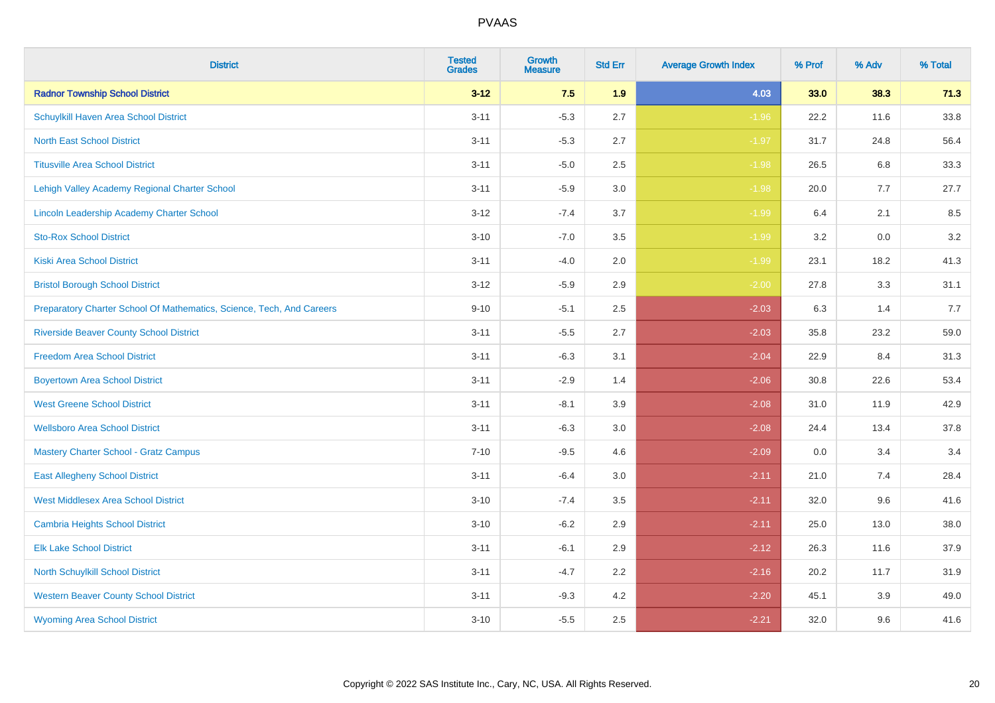| <b>District</b>                                                       | <b>Tested</b><br><b>Grades</b> | <b>Growth</b><br><b>Measure</b> | <b>Std Err</b> | <b>Average Growth Index</b> | % Prof | % Adv | % Total |
|-----------------------------------------------------------------------|--------------------------------|---------------------------------|----------------|-----------------------------|--------|-------|---------|
| <b>Radnor Township School District</b>                                | $3 - 12$                       | 7.5                             | 1.9            | 4.03                        | 33.0   | 38.3  | 71.3    |
| Schuylkill Haven Area School District                                 | $3 - 11$                       | $-5.3$                          | 2.7            | $-1.96$                     | 22.2   | 11.6  | 33.8    |
| <b>North East School District</b>                                     | $3 - 11$                       | $-5.3$                          | 2.7            | $-1.97$                     | 31.7   | 24.8  | 56.4    |
| <b>Titusville Area School District</b>                                | $3 - 11$                       | $-5.0$                          | 2.5            | $-1.98$                     | 26.5   | 6.8   | 33.3    |
| Lehigh Valley Academy Regional Charter School                         | $3 - 11$                       | $-5.9$                          | 3.0            | $-1.98$                     | 20.0   | 7.7   | 27.7    |
| <b>Lincoln Leadership Academy Charter School</b>                      | $3 - 12$                       | $-7.4$                          | 3.7            | $-1.99$                     | 6.4    | 2.1   | 8.5     |
| <b>Sto-Rox School District</b>                                        | $3 - 10$                       | $-7.0$                          | 3.5            | $-1.99$                     | 3.2    | 0.0   | 3.2     |
| <b>Kiski Area School District</b>                                     | $3 - 11$                       | $-4.0$                          | 2.0            | $-1.99$                     | 23.1   | 18.2  | 41.3    |
| <b>Bristol Borough School District</b>                                | $3 - 12$                       | $-5.9$                          | 2.9            | $-2.00$                     | 27.8   | 3.3   | 31.1    |
| Preparatory Charter School Of Mathematics, Science, Tech, And Careers | $9 - 10$                       | $-5.1$                          | 2.5            | $-2.03$                     | 6.3    | 1.4   | 7.7     |
| <b>Riverside Beaver County School District</b>                        | $3 - 11$                       | $-5.5$                          | 2.7            | $-2.03$                     | 35.8   | 23.2  | 59.0    |
| <b>Freedom Area School District</b>                                   | $3 - 11$                       | $-6.3$                          | 3.1            | $-2.04$                     | 22.9   | 8.4   | 31.3    |
| <b>Boyertown Area School District</b>                                 | $3 - 11$                       | $-2.9$                          | 1.4            | $-2.06$                     | 30.8   | 22.6  | 53.4    |
| <b>West Greene School District</b>                                    | $3 - 11$                       | $-8.1$                          | 3.9            | $-2.08$                     | 31.0   | 11.9  | 42.9    |
| <b>Wellsboro Area School District</b>                                 | $3 - 11$                       | $-6.3$                          | 3.0            | $-2.08$                     | 24.4   | 13.4  | 37.8    |
| <b>Mastery Charter School - Gratz Campus</b>                          | $7 - 10$                       | $-9.5$                          | 4.6            | $-2.09$                     | 0.0    | 3.4   | 3.4     |
| <b>East Allegheny School District</b>                                 | $3 - 11$                       | $-6.4$                          | 3.0            | $-2.11$                     | 21.0   | 7.4   | 28.4    |
| <b>West Middlesex Area School District</b>                            | $3 - 10$                       | $-7.4$                          | 3.5            | $-2.11$                     | 32.0   | 9.6   | 41.6    |
| <b>Cambria Heights School District</b>                                | $3 - 10$                       | $-6.2$                          | 2.9            | $-2.11$                     | 25.0   | 13.0  | 38.0    |
| <b>Elk Lake School District</b>                                       | $3 - 11$                       | $-6.1$                          | 2.9            | $-2.12$                     | 26.3   | 11.6  | 37.9    |
| <b>North Schuylkill School District</b>                               | $3 - 11$                       | $-4.7$                          | 2.2            | $-2.16$                     | 20.2   | 11.7  | 31.9    |
| <b>Western Beaver County School District</b>                          | $3 - 11$                       | $-9.3$                          | 4.2            | $-2.20$                     | 45.1   | 3.9   | 49.0    |
| <b>Wyoming Area School District</b>                                   | $3 - 10$                       | $-5.5$                          | 2.5            | $-2.21$                     | 32.0   | 9.6   | 41.6    |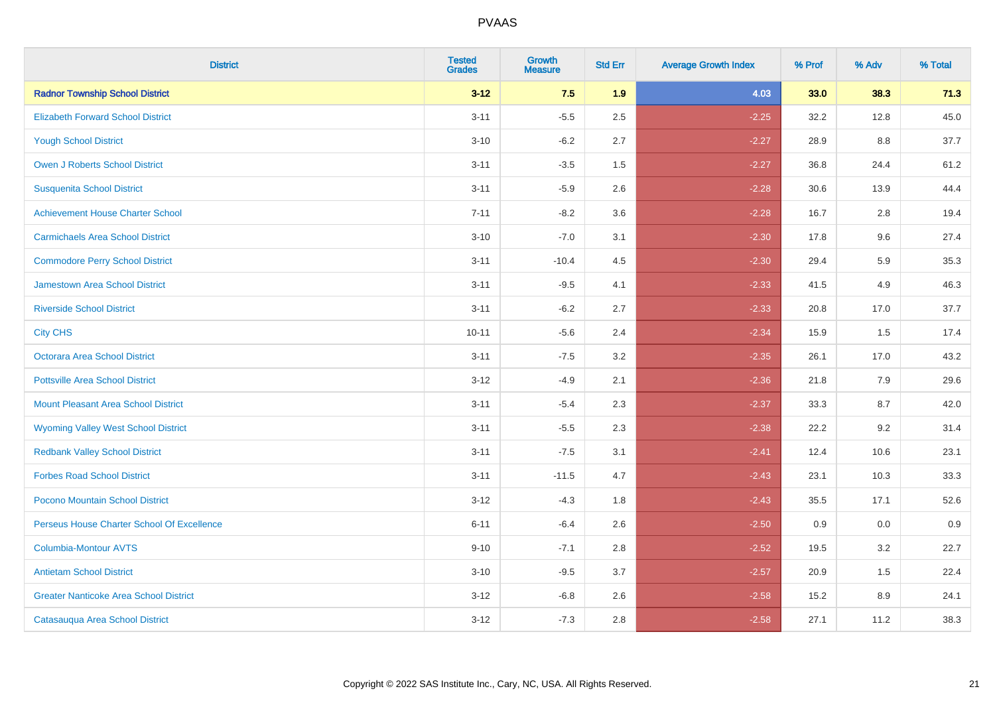| <b>District</b>                               | <b>Tested</b><br><b>Grades</b> | Growth<br><b>Measure</b> | <b>Std Err</b> | <b>Average Growth Index</b> | % Prof | % Adv | % Total |
|-----------------------------------------------|--------------------------------|--------------------------|----------------|-----------------------------|--------|-------|---------|
| <b>Radnor Township School District</b>        | $3 - 12$                       | 7.5                      | 1.9            | 4.03                        | 33.0   | 38.3  | 71.3    |
| <b>Elizabeth Forward School District</b>      | $3 - 11$                       | $-5.5$                   | 2.5            | $-2.25$                     | 32.2   | 12.8  | 45.0    |
| <b>Yough School District</b>                  | $3 - 10$                       | $-6.2$                   | 2.7            | $-2.27$                     | 28.9   | 8.8   | 37.7    |
| Owen J Roberts School District                | $3 - 11$                       | $-3.5$                   | 1.5            | $-2.27$                     | 36.8   | 24.4  | 61.2    |
| <b>Susquenita School District</b>             | $3 - 11$                       | $-5.9$                   | 2.6            | $-2.28$                     | 30.6   | 13.9  | 44.4    |
| <b>Achievement House Charter School</b>       | $7 - 11$                       | $-8.2$                   | 3.6            | $-2.28$                     | 16.7   | 2.8   | 19.4    |
| <b>Carmichaels Area School District</b>       | $3 - 10$                       | $-7.0$                   | 3.1            | $-2.30$                     | 17.8   | 9.6   | 27.4    |
| <b>Commodore Perry School District</b>        | $3 - 11$                       | $-10.4$                  | 4.5            | $-2.30$                     | 29.4   | 5.9   | 35.3    |
| Jamestown Area School District                | $3 - 11$                       | $-9.5$                   | 4.1            | $-2.33$                     | 41.5   | 4.9   | 46.3    |
| <b>Riverside School District</b>              | $3 - 11$                       | $-6.2$                   | 2.7            | $-2.33$                     | 20.8   | 17.0  | 37.7    |
| <b>City CHS</b>                               | $10 - 11$                      | $-5.6$                   | 2.4            | $-2.34$                     | 15.9   | 1.5   | 17.4    |
| <b>Octorara Area School District</b>          | $3 - 11$                       | $-7.5$                   | 3.2            | $-2.35$                     | 26.1   | 17.0  | 43.2    |
| <b>Pottsville Area School District</b>        | $3 - 12$                       | $-4.9$                   | 2.1            | $-2.36$                     | 21.8   | 7.9   | 29.6    |
| <b>Mount Pleasant Area School District</b>    | $3 - 11$                       | $-5.4$                   | 2.3            | $-2.37$                     | 33.3   | 8.7   | 42.0    |
| <b>Wyoming Valley West School District</b>    | $3 - 11$                       | $-5.5$                   | 2.3            | $-2.38$                     | 22.2   | 9.2   | 31.4    |
| <b>Redbank Valley School District</b>         | $3 - 11$                       | $-7.5$                   | 3.1            | $-2.41$                     | 12.4   | 10.6  | 23.1    |
| <b>Forbes Road School District</b>            | $3 - 11$                       | $-11.5$                  | 4.7            | $-2.43$                     | 23.1   | 10.3  | 33.3    |
| Pocono Mountain School District               | $3 - 12$                       | $-4.3$                   | 1.8            | $-2.43$                     | 35.5   | 17.1  | 52.6    |
| Perseus House Charter School Of Excellence    | $6 - 11$                       | $-6.4$                   | 2.6            | $-2.50$                     | 0.9    | 0.0   | 0.9     |
| <b>Columbia-Montour AVTS</b>                  | $9 - 10$                       | $-7.1$                   | 2.8            | $-2.52$                     | 19.5   | 3.2   | 22.7    |
| <b>Antietam School District</b>               | $3 - 10$                       | $-9.5$                   | 3.7            | $-2.57$                     | 20.9   | 1.5   | 22.4    |
| <b>Greater Nanticoke Area School District</b> | $3 - 12$                       | $-6.8$                   | 2.6            | $-2.58$                     | 15.2   | 8.9   | 24.1    |
| Catasauqua Area School District               | $3 - 12$                       | $-7.3$                   | 2.8            | $-2.58$                     | 27.1   | 11.2  | 38.3    |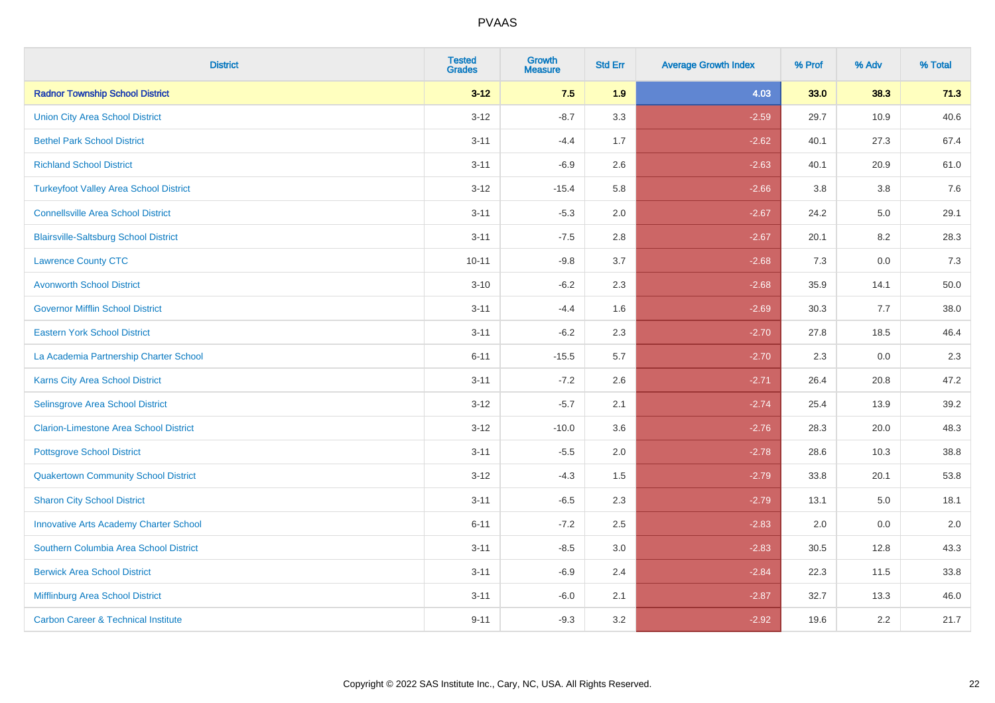| <b>District</b>                                | <b>Tested</b><br><b>Grades</b> | <b>Growth</b><br><b>Measure</b> | <b>Std Err</b> | <b>Average Growth Index</b> | % Prof | % Adv | % Total |
|------------------------------------------------|--------------------------------|---------------------------------|----------------|-----------------------------|--------|-------|---------|
| <b>Radnor Township School District</b>         | $3 - 12$                       | 7.5                             | 1.9            | 4.03                        | 33.0   | 38.3  | 71.3    |
| <b>Union City Area School District</b>         | $3 - 12$                       | $-8.7$                          | 3.3            | $-2.59$                     | 29.7   | 10.9  | 40.6    |
| <b>Bethel Park School District</b>             | $3 - 11$                       | $-4.4$                          | 1.7            | $-2.62$                     | 40.1   | 27.3  | 67.4    |
| <b>Richland School District</b>                | $3 - 11$                       | $-6.9$                          | 2.6            | $-2.63$                     | 40.1   | 20.9  | 61.0    |
| <b>Turkeyfoot Valley Area School District</b>  | $3 - 12$                       | $-15.4$                         | 5.8            | $-2.66$                     | 3.8    | 3.8   | 7.6     |
| <b>Connellsville Area School District</b>      | $3 - 11$                       | $-5.3$                          | 2.0            | $-2.67$                     | 24.2   | 5.0   | 29.1    |
| <b>Blairsville-Saltsburg School District</b>   | $3 - 11$                       | $-7.5$                          | 2.8            | $-2.67$                     | 20.1   | 8.2   | 28.3    |
| <b>Lawrence County CTC</b>                     | $10 - 11$                      | $-9.8$                          | 3.7            | $-2.68$                     | 7.3    | 0.0   | 7.3     |
| <b>Avonworth School District</b>               | $3 - 10$                       | $-6.2$                          | 2.3            | $-2.68$                     | 35.9   | 14.1  | 50.0    |
| <b>Governor Mifflin School District</b>        | $3 - 11$                       | $-4.4$                          | 1.6            | $-2.69$                     | 30.3   | 7.7   | 38.0    |
| <b>Eastern York School District</b>            | $3 - 11$                       | $-6.2$                          | 2.3            | $-2.70$                     | 27.8   | 18.5  | 46.4    |
| La Academia Partnership Charter School         | $6 - 11$                       | $-15.5$                         | 5.7            | $-2.70$                     | 2.3    | 0.0   | 2.3     |
| Karns City Area School District                | $3 - 11$                       | $-7.2$                          | 2.6            | $-2.71$                     | 26.4   | 20.8  | 47.2    |
| Selinsgrove Area School District               | $3 - 12$                       | $-5.7$                          | 2.1            | $-2.74$                     | 25.4   | 13.9  | 39.2    |
| <b>Clarion-Limestone Area School District</b>  | $3 - 12$                       | $-10.0$                         | 3.6            | $-2.76$                     | 28.3   | 20.0  | 48.3    |
| <b>Pottsgrove School District</b>              | $3 - 11$                       | $-5.5$                          | 2.0            | $-2.78$                     | 28.6   | 10.3  | 38.8    |
| <b>Quakertown Community School District</b>    | $3 - 12$                       | $-4.3$                          | 1.5            | $-2.79$                     | 33.8   | 20.1  | 53.8    |
| <b>Sharon City School District</b>             | $3 - 11$                       | $-6.5$                          | 2.3            | $-2.79$                     | 13.1   | 5.0   | 18.1    |
| <b>Innovative Arts Academy Charter School</b>  | $6 - 11$                       | $-7.2$                          | 2.5            | $-2.83$                     | 2.0    | 0.0   | 2.0     |
| Southern Columbia Area School District         | $3 - 11$                       | $-8.5$                          | 3.0            | $-2.83$                     | 30.5   | 12.8  | 43.3    |
| <b>Berwick Area School District</b>            | $3 - 11$                       | $-6.9$                          | 2.4            | $-2.84$                     | 22.3   | 11.5  | 33.8    |
| Mifflinburg Area School District               | $3 - 11$                       | $-6.0$                          | 2.1            | $-2.87$                     | 32.7   | 13.3  | 46.0    |
| <b>Carbon Career &amp; Technical Institute</b> | $9 - 11$                       | $-9.3$                          | 3.2            | $-2.92$                     | 19.6   | 2.2   | 21.7    |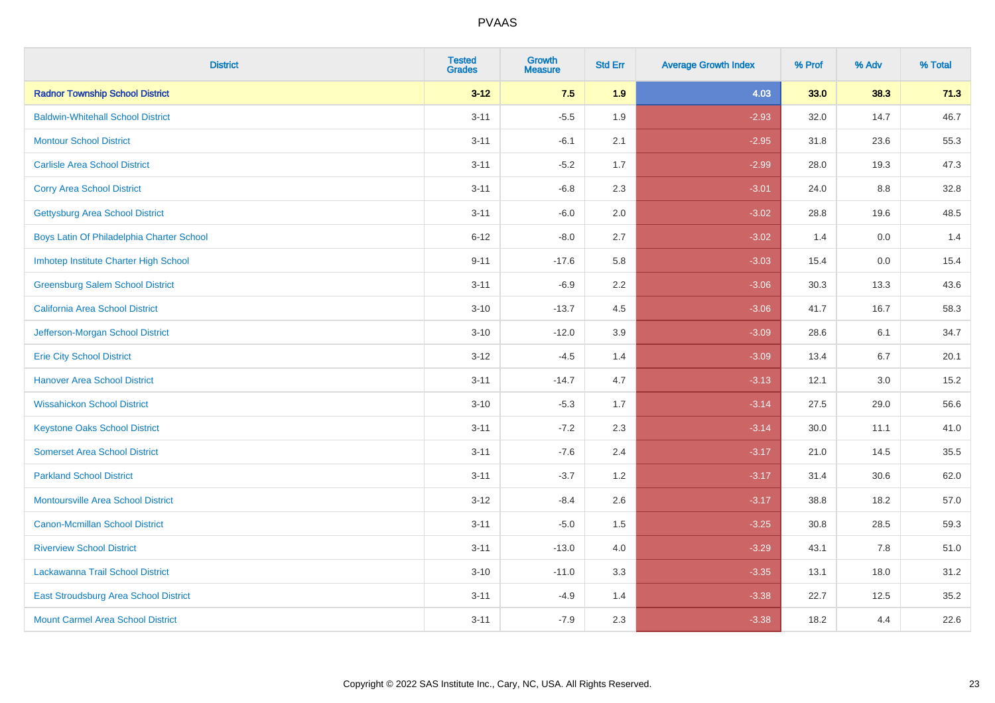| <b>District</b>                           | <b>Tested</b><br><b>Grades</b> | <b>Growth</b><br><b>Measure</b> | <b>Std Err</b> | <b>Average Growth Index</b> | % Prof | % Adv | % Total |
|-------------------------------------------|--------------------------------|---------------------------------|----------------|-----------------------------|--------|-------|---------|
| <b>Radnor Township School District</b>    | $3 - 12$                       | 7.5                             | 1.9            | 4.03                        | 33.0   | 38.3  | 71.3    |
| <b>Baldwin-Whitehall School District</b>  | $3 - 11$                       | $-5.5$                          | 1.9            | $-2.93$                     | 32.0   | 14.7  | 46.7    |
| <b>Montour School District</b>            | $3 - 11$                       | $-6.1$                          | 2.1            | $-2.95$                     | 31.8   | 23.6  | 55.3    |
| <b>Carlisle Area School District</b>      | $3 - 11$                       | $-5.2$                          | 1.7            | $-2.99$                     | 28.0   | 19.3  | 47.3    |
| <b>Corry Area School District</b>         | $3 - 11$                       | $-6.8$                          | 2.3            | $-3.01$                     | 24.0   | 8.8   | 32.8    |
| <b>Gettysburg Area School District</b>    | $3 - 11$                       | $-6.0$                          | 2.0            | $-3.02$                     | 28.8   | 19.6  | 48.5    |
| Boys Latin Of Philadelphia Charter School | $6 - 12$                       | $-8.0$                          | 2.7            | $-3.02$                     | 1.4    | 0.0   | 1.4     |
| Imhotep Institute Charter High School     | $9 - 11$                       | $-17.6$                         | 5.8            | $-3.03$                     | 15.4   | 0.0   | 15.4    |
| <b>Greensburg Salem School District</b>   | $3 - 11$                       | $-6.9$                          | 2.2            | $-3.06$                     | 30.3   | 13.3  | 43.6    |
| California Area School District           | $3 - 10$                       | $-13.7$                         | 4.5            | $-3.06$                     | 41.7   | 16.7  | 58.3    |
| Jefferson-Morgan School District          | $3 - 10$                       | $-12.0$                         | 3.9            | $-3.09$                     | 28.6   | 6.1   | 34.7    |
| <b>Erie City School District</b>          | $3 - 12$                       | $-4.5$                          | 1.4            | $-3.09$                     | 13.4   | 6.7   | 20.1    |
| <b>Hanover Area School District</b>       | $3 - 11$                       | $-14.7$                         | 4.7            | $-3.13$                     | 12.1   | 3.0   | 15.2    |
| <b>Wissahickon School District</b>        | $3 - 10$                       | $-5.3$                          | 1.7            | $-3.14$                     | 27.5   | 29.0  | 56.6    |
| <b>Keystone Oaks School District</b>      | $3 - 11$                       | $-7.2$                          | 2.3            | $-3.14$                     | 30.0   | 11.1  | 41.0    |
| <b>Somerset Area School District</b>      | $3 - 11$                       | $-7.6$                          | 2.4            | $-3.17$                     | 21.0   | 14.5  | 35.5    |
| <b>Parkland School District</b>           | $3 - 11$                       | $-3.7$                          | 1.2            | $-3.17$                     | 31.4   | 30.6  | 62.0    |
| Montoursville Area School District        | $3-12$                         | $-8.4$                          | 2.6            | $-3.17$                     | 38.8   | 18.2  | 57.0    |
| <b>Canon-Mcmillan School District</b>     | $3 - 11$                       | $-5.0$                          | 1.5            | $-3.25$                     | 30.8   | 28.5  | 59.3    |
| <b>Riverview School District</b>          | $3 - 11$                       | $-13.0$                         | 4.0            | $-3.29$                     | 43.1   | 7.8   | 51.0    |
| Lackawanna Trail School District          | $3 - 10$                       | $-11.0$                         | 3.3            | $-3.35$                     | 13.1   | 18.0  | 31.2    |
| East Stroudsburg Area School District     | $3 - 11$                       | $-4.9$                          | 1.4            | $-3.38$                     | 22.7   | 12.5  | 35.2    |
| <b>Mount Carmel Area School District</b>  | $3 - 11$                       | $-7.9$                          | 2.3            | $-3.38$                     | 18.2   | 4.4   | 22.6    |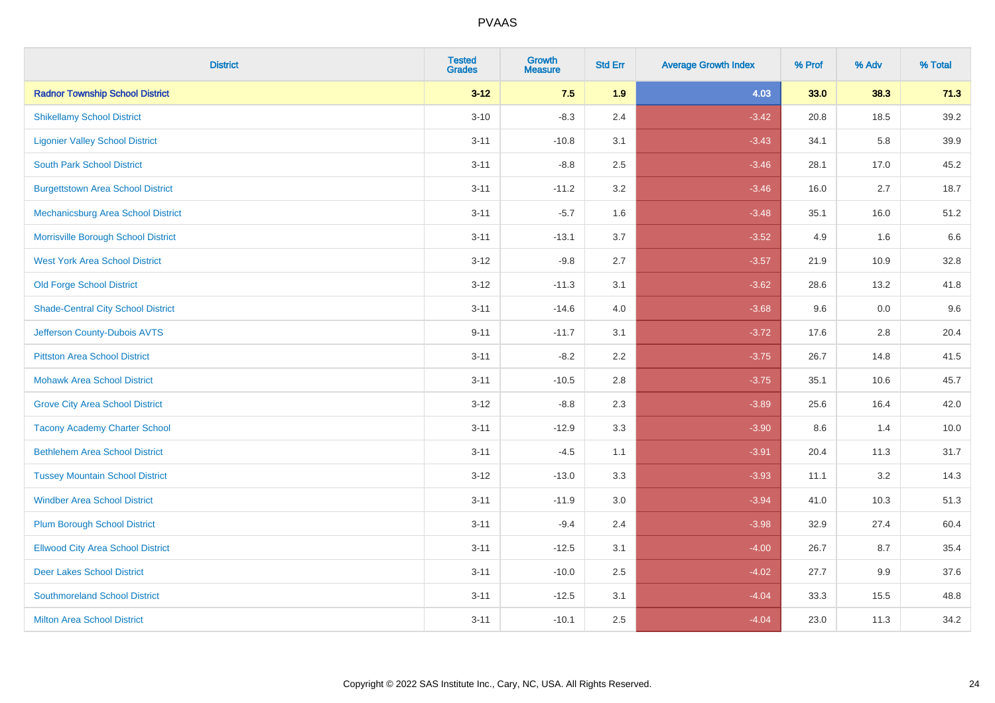| <b>District</b>                           | <b>Tested</b><br><b>Grades</b> | <b>Growth</b><br><b>Measure</b> | <b>Std Err</b> | <b>Average Growth Index</b> | % Prof | % Adv | % Total |
|-------------------------------------------|--------------------------------|---------------------------------|----------------|-----------------------------|--------|-------|---------|
| <b>Radnor Township School District</b>    | $3 - 12$                       | 7.5                             | 1.9            | 4.03                        | 33.0   | 38.3  | 71.3    |
| <b>Shikellamy School District</b>         | $3 - 10$                       | $-8.3$                          | 2.4            | $-3.42$                     | 20.8   | 18.5  | 39.2    |
| <b>Ligonier Valley School District</b>    | $3 - 11$                       | $-10.8$                         | 3.1            | $-3.43$                     | 34.1   | 5.8   | 39.9    |
| <b>South Park School District</b>         | $3 - 11$                       | $-8.8$                          | 2.5            | $-3.46$                     | 28.1   | 17.0  | 45.2    |
| <b>Burgettstown Area School District</b>  | $3 - 11$                       | $-11.2$                         | 3.2            | $-3.46$                     | 16.0   | 2.7   | 18.7    |
| <b>Mechanicsburg Area School District</b> | $3 - 11$                       | $-5.7$                          | 1.6            | $-3.48$                     | 35.1   | 16.0  | 51.2    |
| Morrisville Borough School District       | $3 - 11$                       | $-13.1$                         | 3.7            | $-3.52$                     | 4.9    | 1.6   | 6.6     |
| <b>West York Area School District</b>     | $3 - 12$                       | $-9.8$                          | 2.7            | $-3.57$                     | 21.9   | 10.9  | 32.8    |
| <b>Old Forge School District</b>          | $3 - 12$                       | $-11.3$                         | 3.1            | $-3.62$                     | 28.6   | 13.2  | 41.8    |
| <b>Shade-Central City School District</b> | $3 - 11$                       | $-14.6$                         | 4.0            | $-3.68$                     | 9.6    | 0.0   | 9.6     |
| Jefferson County-Dubois AVTS              | $9 - 11$                       | $-11.7$                         | 3.1            | $-3.72$                     | 17.6   | 2.8   | 20.4    |
| <b>Pittston Area School District</b>      | $3 - 11$                       | $-8.2$                          | 2.2            | $-3.75$                     | 26.7   | 14.8  | 41.5    |
| <b>Mohawk Area School District</b>        | $3 - 11$                       | $-10.5$                         | 2.8            | $-3.75$                     | 35.1   | 10.6  | 45.7    |
| <b>Grove City Area School District</b>    | $3 - 12$                       | $-8.8$                          | 2.3            | $-3.89$                     | 25.6   | 16.4  | 42.0    |
| <b>Tacony Academy Charter School</b>      | $3 - 11$                       | $-12.9$                         | 3.3            | $-3.90$                     | 8.6    | 1.4   | 10.0    |
| <b>Bethlehem Area School District</b>     | $3 - 11$                       | $-4.5$                          | 1.1            | $-3.91$                     | 20.4   | 11.3  | 31.7    |
| <b>Tussey Mountain School District</b>    | $3 - 12$                       | $-13.0$                         | 3.3            | $-3.93$                     | 11.1   | 3.2   | 14.3    |
| <b>Windber Area School District</b>       | $3 - 11$                       | $-11.9$                         | 3.0            | $-3.94$                     | 41.0   | 10.3  | 51.3    |
| <b>Plum Borough School District</b>       | $3 - 11$                       | $-9.4$                          | 2.4            | $-3.98$                     | 32.9   | 27.4  | 60.4    |
| <b>Ellwood City Area School District</b>  | $3 - 11$                       | $-12.5$                         | 3.1            | $-4.00$                     | 26.7   | 8.7   | 35.4    |
| <b>Deer Lakes School District</b>         | $3 - 11$                       | $-10.0$                         | 2.5            | $-4.02$                     | 27.7   | 9.9   | 37.6    |
| <b>Southmoreland School District</b>      | $3 - 11$                       | $-12.5$                         | 3.1            | $-4.04$                     | 33.3   | 15.5  | 48.8    |
| <b>Milton Area School District</b>        | $3 - 11$                       | $-10.1$                         | 2.5            | $-4.04$                     | 23.0   | 11.3  | 34.2    |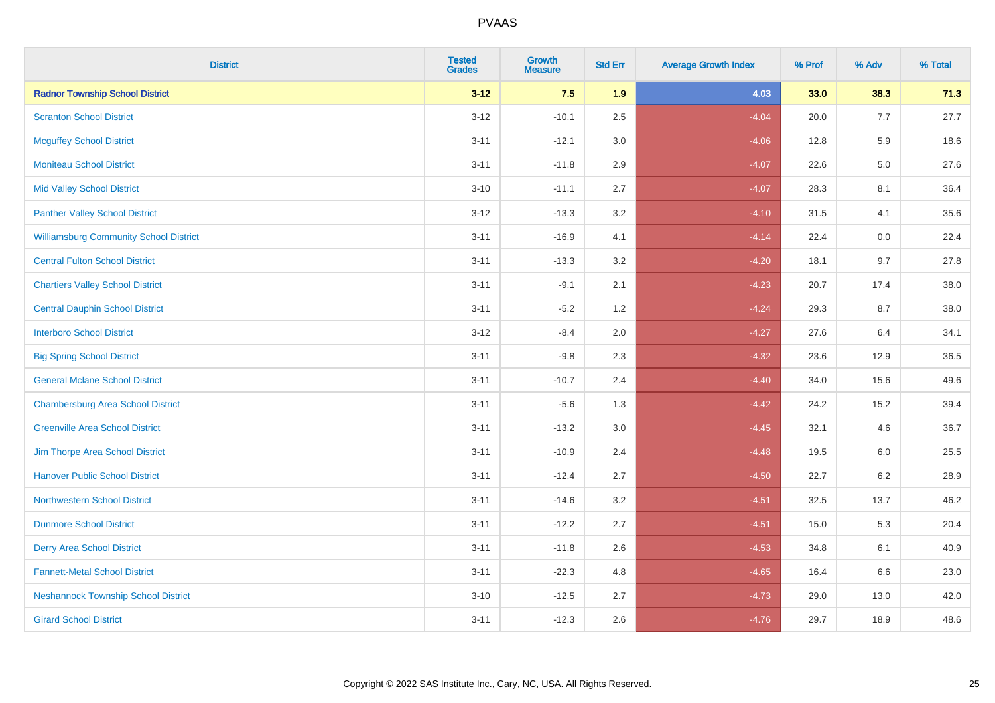| <b>District</b>                               | <b>Tested</b><br><b>Grades</b> | <b>Growth</b><br><b>Measure</b> | <b>Std Err</b> | <b>Average Growth Index</b> | % Prof | % Adv   | % Total |
|-----------------------------------------------|--------------------------------|---------------------------------|----------------|-----------------------------|--------|---------|---------|
| <b>Radnor Township School District</b>        | $3 - 12$                       | 7.5                             | 1.9            | 4.03                        | 33.0   | 38.3    | 71.3    |
| <b>Scranton School District</b>               | $3 - 12$                       | $-10.1$                         | 2.5            | $-4.04$                     | 20.0   | 7.7     | 27.7    |
| <b>Mcguffey School District</b>               | $3 - 11$                       | $-12.1$                         | 3.0            | $-4.06$                     | 12.8   | 5.9     | 18.6    |
| <b>Moniteau School District</b>               | $3 - 11$                       | $-11.8$                         | 2.9            | $-4.07$                     | 22.6   | $5.0\,$ | 27.6    |
| <b>Mid Valley School District</b>             | $3 - 10$                       | $-11.1$                         | 2.7            | $-4.07$                     | 28.3   | 8.1     | 36.4    |
| <b>Panther Valley School District</b>         | $3 - 12$                       | $-13.3$                         | 3.2            | $-4.10$                     | 31.5   | 4.1     | 35.6    |
| <b>Williamsburg Community School District</b> | $3 - 11$                       | $-16.9$                         | 4.1            | $-4.14$                     | 22.4   | 0.0     | 22.4    |
| <b>Central Fulton School District</b>         | $3 - 11$                       | $-13.3$                         | 3.2            | $-4.20$                     | 18.1   | 9.7     | 27.8    |
| <b>Chartiers Valley School District</b>       | $3 - 11$                       | $-9.1$                          | 2.1            | $-4.23$                     | 20.7   | 17.4    | 38.0    |
| <b>Central Dauphin School District</b>        | $3 - 11$                       | $-5.2$                          | 1.2            | $-4.24$                     | 29.3   | 8.7     | 38.0    |
| <b>Interboro School District</b>              | $3 - 12$                       | $-8.4$                          | 2.0            | $-4.27$                     | 27.6   | 6.4     | 34.1    |
| <b>Big Spring School District</b>             | $3 - 11$                       | $-9.8$                          | 2.3            | $-4.32$                     | 23.6   | 12.9    | 36.5    |
| <b>General Mclane School District</b>         | $3 - 11$                       | $-10.7$                         | 2.4            | $-4.40$                     | 34.0   | 15.6    | 49.6    |
| <b>Chambersburg Area School District</b>      | $3 - 11$                       | $-5.6$                          | 1.3            | $-4.42$                     | 24.2   | 15.2    | 39.4    |
| <b>Greenville Area School District</b>        | $3 - 11$                       | $-13.2$                         | $3.0\,$        | $-4.45$                     | 32.1   | 4.6     | 36.7    |
| Jim Thorpe Area School District               | $3 - 11$                       | $-10.9$                         | 2.4            | $-4.48$                     | 19.5   | $6.0\,$ | 25.5    |
| <b>Hanover Public School District</b>         | $3 - 11$                       | $-12.4$                         | 2.7            | $-4.50$                     | 22.7   | 6.2     | 28.9    |
| <b>Northwestern School District</b>           | $3 - 11$                       | $-14.6$                         | 3.2            | $-4.51$                     | 32.5   | 13.7    | 46.2    |
| <b>Dunmore School District</b>                | $3 - 11$                       | $-12.2$                         | 2.7            | $-4.51$                     | 15.0   | 5.3     | 20.4    |
| <b>Derry Area School District</b>             | $3 - 11$                       | $-11.8$                         | 2.6            | $-4.53$                     | 34.8   | 6.1     | 40.9    |
| <b>Fannett-Metal School District</b>          | $3 - 11$                       | $-22.3$                         | 4.8            | $-4.65$                     | 16.4   | 6.6     | 23.0    |
| <b>Neshannock Township School District</b>    | $3 - 10$                       | $-12.5$                         | 2.7            | $-4.73$                     | 29.0   | 13.0    | 42.0    |
| <b>Girard School District</b>                 | $3 - 11$                       | $-12.3$                         | 2.6            | $-4.76$                     | 29.7   | 18.9    | 48.6    |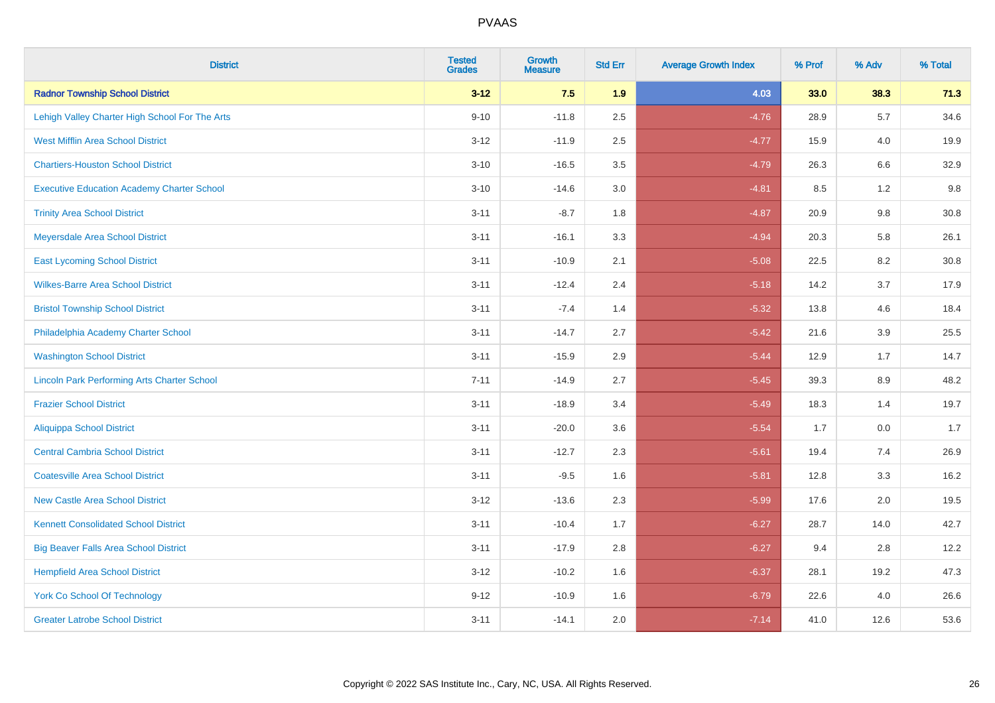| <b>District</b>                                    | <b>Tested</b><br><b>Grades</b> | <b>Growth</b><br><b>Measure</b> | <b>Std Err</b> | <b>Average Growth Index</b> | % Prof | % Adv   | % Total |
|----------------------------------------------------|--------------------------------|---------------------------------|----------------|-----------------------------|--------|---------|---------|
| <b>Radnor Township School District</b>             | $3 - 12$                       | 7.5                             | 1.9            | 4.03                        | 33.0   | 38.3    | 71.3    |
| Lehigh Valley Charter High School For The Arts     | $9 - 10$                       | $-11.8$                         | 2.5            | $-4.76$                     | 28.9   | 5.7     | 34.6    |
| <b>West Mifflin Area School District</b>           | $3 - 12$                       | $-11.9$                         | 2.5            | $-4.77$                     | 15.9   | 4.0     | 19.9    |
| <b>Chartiers-Houston School District</b>           | $3 - 10$                       | $-16.5$                         | 3.5            | $-4.79$                     | 26.3   | 6.6     | 32.9    |
| <b>Executive Education Academy Charter School</b>  | $3 - 10$                       | $-14.6$                         | 3.0            | $-4.81$                     | 8.5    | 1.2     | 9.8     |
| <b>Trinity Area School District</b>                | $3 - 11$                       | $-8.7$                          | 1.8            | $-4.87$                     | 20.9   | 9.8     | 30.8    |
| Meyersdale Area School District                    | $3 - 11$                       | $-16.1$                         | 3.3            | $-4.94$                     | 20.3   | 5.8     | 26.1    |
| <b>East Lycoming School District</b>               | $3 - 11$                       | $-10.9$                         | 2.1            | $-5.08$                     | 22.5   | 8.2     | 30.8    |
| <b>Wilkes-Barre Area School District</b>           | $3 - 11$                       | $-12.4$                         | 2.4            | $-5.18$                     | 14.2   | 3.7     | 17.9    |
| <b>Bristol Township School District</b>            | $3 - 11$                       | $-7.4$                          | 1.4            | $-5.32$                     | 13.8   | 4.6     | 18.4    |
| Philadelphia Academy Charter School                | $3 - 11$                       | $-14.7$                         | 2.7            | $-5.42$                     | 21.6   | 3.9     | 25.5    |
| <b>Washington School District</b>                  | $3 - 11$                       | $-15.9$                         | 2.9            | $-5.44$                     | 12.9   | 1.7     | 14.7    |
| <b>Lincoln Park Performing Arts Charter School</b> | $7 - 11$                       | $-14.9$                         | 2.7            | $-5.45$                     | 39.3   | $8.9\,$ | 48.2    |
| <b>Frazier School District</b>                     | $3 - 11$                       | $-18.9$                         | 3.4            | $-5.49$                     | 18.3   | 1.4     | 19.7    |
| <b>Aliquippa School District</b>                   | $3 - 11$                       | $-20.0$                         | 3.6            | $-5.54$                     | 1.7    | 0.0     | 1.7     |
| <b>Central Cambria School District</b>             | $3 - 11$                       | $-12.7$                         | 2.3            | $-5.61$                     | 19.4   | 7.4     | 26.9    |
| <b>Coatesville Area School District</b>            | $3 - 11$                       | $-9.5$                          | 1.6            | $-5.81$                     | 12.8   | 3.3     | 16.2    |
| <b>New Castle Area School District</b>             | $3 - 12$                       | $-13.6$                         | 2.3            | $-5.99$                     | 17.6   | 2.0     | 19.5    |
| <b>Kennett Consolidated School District</b>        | $3 - 11$                       | $-10.4$                         | 1.7            | $-6.27$                     | 28.7   | 14.0    | 42.7    |
| <b>Big Beaver Falls Area School District</b>       | $3 - 11$                       | $-17.9$                         | 2.8            | $-6.27$                     | 9.4    | 2.8     | 12.2    |
| <b>Hempfield Area School District</b>              | $3 - 12$                       | $-10.2$                         | 1.6            | $-6.37$                     | 28.1   | 19.2    | 47.3    |
| York Co School Of Technology                       | $9 - 12$                       | $-10.9$                         | 1.6            | $-6.79$                     | 22.6   | 4.0     | 26.6    |
| <b>Greater Latrobe School District</b>             | $3 - 11$                       | $-14.1$                         | 2.0            | $-7.14$                     | 41.0   | 12.6    | 53.6    |